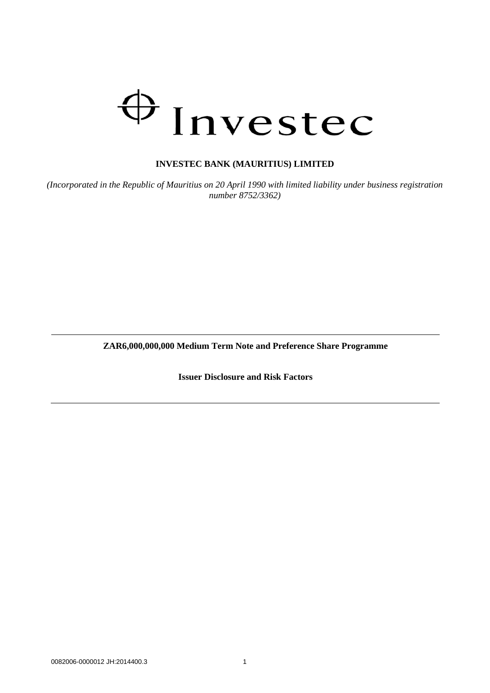# $\bigoplus$ Investec

# **INVESTEC BANK (MAURITIUS) LIMITED**

*(Incorporated in the Republic of Mauritius on 20 April 1990 with limited liability under business registration number 8752/3362)*

**ZAR6,000,000,000 Medium Term Note and Preference Share Programme**

**Issuer Disclosure and Risk Factors**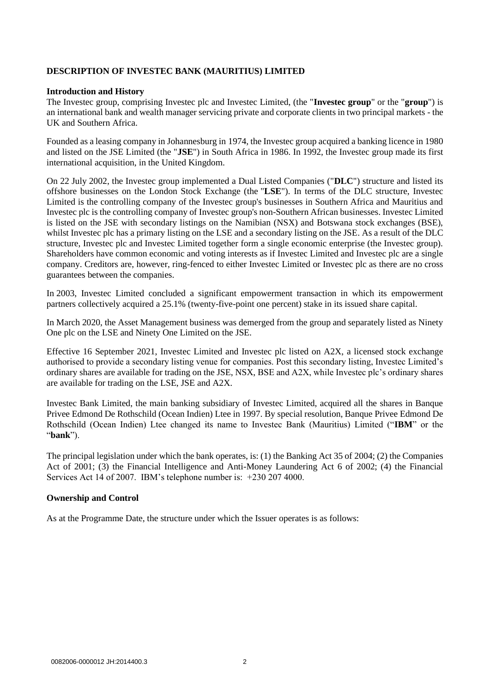# **DESCRIPTION OF INVESTEC BANK (MAURITIUS) LIMITED**

# **Introduction and History**

The Investec group, comprising Investec plc and Investec Limited, (the "**Investec group**" or the "**group**") is an international bank and wealth manager servicing private and corporate clients in two principal markets - the UK and Southern Africa.

Founded as a leasing company in Johannesburg in 1974, the Investec group acquired a banking licence in 1980 and listed on the JSE Limited (the "**JSE**") in South Africa in 1986. In 1992, the Investec group made its first international acquisition, in the United Kingdom.

On 22 July 2002, the Investec group implemented a Dual Listed Companies ("**DLC**") structure and listed its offshore businesses on the London Stock Exchange (the "**LSE**"). In terms of the DLC structure, Investec Limited is the controlling company of the Investec group's businesses in Southern Africa and Mauritius and Investec plc is the controlling company of Investec group's non-Southern African businesses. Investec Limited is listed on the JSE with secondary listings on the Namibian (NSX) and Botswana stock exchanges (BSE), whilst Investec plc has a primary listing on the LSE and a secondary listing on the JSE. As a result of the DLC structure, Investec plc and Investec Limited together form a single economic enterprise (the Investec group). Shareholders have common economic and voting interests as if Investec Limited and Investec plc are a single company. Creditors are, however, ring-fenced to either Investec Limited or Investec plc as there are no cross guarantees between the companies.

In 2003, Investec Limited concluded a significant empowerment transaction in which its empowerment partners collectively acquired a 25.1% (twenty-five-point one percent) stake in its issued share capital.

In March 2020, the Asset Management business was demerged from the group and separately listed as Ninety One plc on the LSE and Ninety One Limited on the JSE.

Effective 16 September 2021, Investec Limited and Investec plc listed on A2X, a licensed stock exchange authorised to provide a secondary listing venue for companies. Post this secondary listing, Investec Limited's ordinary shares are available for trading on the JSE, NSX, BSE and A2X, while Investec plc's ordinary shares are available for trading on the LSE, JSE and A2X.

Investec Bank Limited, the main banking subsidiary of Investec Limited, acquired all the shares in Banque Privee Edmond De Rothschild (Ocean Indien) Ltee in 1997. By special resolution, Banque Privee Edmond De Rothschild (Ocean Indien) Ltee changed its name to Investec Bank (Mauritius) Limited ("**IBM**" or the "**bank**").

The principal legislation under which the bank operates, is: (1) the Banking Act 35 of 2004; (2) the Companies Act of 2001; (3) the Financial Intelligence and Anti-Money Laundering Act 6 of 2002; (4) the Financial Services Act 14 of 2007. IBM's telephone number is: +230 207 4000.

# **Ownership and Control**

As at the Programme Date, the structure under which the Issuer operates is as follows: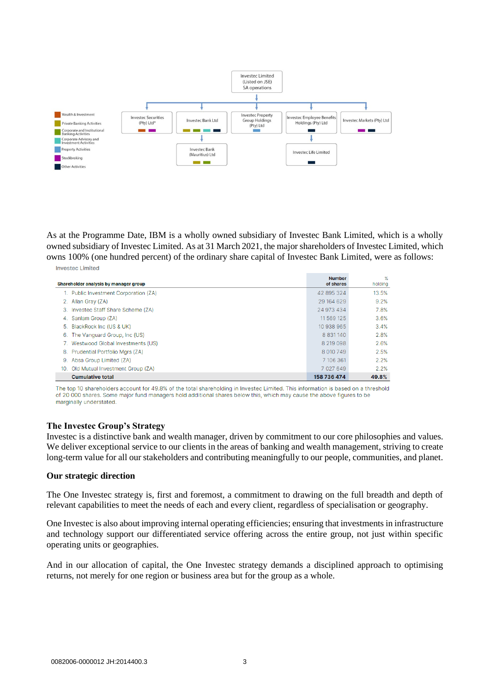

As at the Programme Date, IBM is a wholly owned subsidiary of Investec Bank Limited, which is a wholly owned subsidiary of Investec Limited. As at 31 March 2021, the major shareholders of Investec Limited, which owns 100% (one hundred percent) of the ordinary share capital of Investec Bank Limited, were as follows: **Investec Limited** 

| Shareholder analysis by manager group |                                       | <b>Number</b><br>of shares | ℅<br>holding |
|---------------------------------------|---------------------------------------|----------------------------|--------------|
|                                       | 1. Public Investment Corporation (ZA) | 42 895 324                 | 13.5%        |
|                                       | 2. Allan Gray (ZA)                    | 29 164 629                 | 9.2%         |
|                                       | 3. Invested Staff Share Scheme (ZA)   | 24 973 434                 | 7.8%         |
|                                       | 4. Sanlam Group (ZA)                  | 11 569 125                 | 3.6%         |
|                                       | 5. BlackRock Inc (US & UK)            | 10 938 965                 | 3.4%         |
| 6.                                    | The Vanguard Group, Inc (US)          | 8 8 3 1 1 4 0              | 2.8%         |
|                                       | 7. Westwood Global Investments (US)   | 8 219 098                  | 2.6%         |
|                                       | 8. Prudential Portfolio Mors (ZA)     | 8 010 749                  | 2.5%         |
| 9.                                    | Absa Group Limited (ZA)               | 7 106 361                  | 2.2%         |
| 10.                                   | Old Mutual Investment Group (ZA)      | 7 0 2 7 6 4 9              | 2.2%         |
|                                       | <b>Cumulative total</b>               | 158 736 474                | 49.8%        |

The top 10 shareholders account for 49.8% of the total shareholding in Investec Limited. This information is based on a threshold of 20 000 shares. Some major fund managers hold additional shares below this, which may cause the above figures to be marginally understated.

#### **The Investec Group's Strategy**

Investec is a distinctive bank and wealth manager, driven by commitment to our core philosophies and values. We deliver exceptional service to our clients in the areas of banking and wealth management, striving to create long-term value for all our stakeholders and contributing meaningfully to our people, communities, and planet.

#### **Our strategic direction**

The One Investec strategy is, first and foremost, a commitment to drawing on the full breadth and depth of relevant capabilities to meet the needs of each and every client, regardless of specialisation or geography.

One Investec is also about improving internal operating efficiencies; ensuring that investments in infrastructure and technology support our differentiated service offering across the entire group, not just within specific operating units or geographies.

And in our allocation of capital, the One Investec strategy demands a disciplined approach to optimising returns, not merely for one region or business area but for the group as a whole.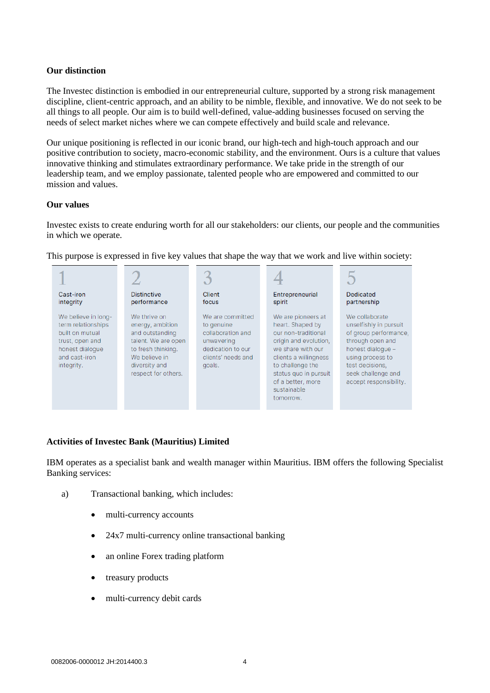# **Our distinction**

The Investec distinction is embodied in our entrepreneurial culture, supported by a strong risk management discipline, client-centric approach, and an ability to be nimble, flexible, and innovative. We do not seek to be all things to all people. Our aim is to build well-defined, value-adding businesses focused on serving the needs of select market niches where we can compete effectively and build scale and relevance.

Our unique positioning is reflected in our iconic brand, our high-tech and high-touch approach and our positive contribution to society, macro-economic stability, and the environment. Ours is a culture that values innovative thinking and stimulates extraordinary performance. We take pride in the strength of our leadership team, and we employ passionate, talented people who are empowered and committed to our mission and values.

# **Our values**

Investec exists to create enduring worth for all our stakeholders: our clients, our people and the communities in which we operate.

| Cast-iron<br>integrity                                                                                                            | <b>Distinctive</b><br>performance                                                                                                                         | Client<br>focus                                                                                                        | Entrepreneurial<br>spirit                                                                                                                                                                                                          | <b>Dedicated</b><br>partnership                                                                                                                                                                   |
|-----------------------------------------------------------------------------------------------------------------------------------|-----------------------------------------------------------------------------------------------------------------------------------------------------------|------------------------------------------------------------------------------------------------------------------------|------------------------------------------------------------------------------------------------------------------------------------------------------------------------------------------------------------------------------------|---------------------------------------------------------------------------------------------------------------------------------------------------------------------------------------------------|
| We believe in long-<br>term relationships<br>built on mutual<br>trust, open and<br>honest dialoque<br>and cast-iron<br>integrity. | We thrive on<br>energy, ambition<br>and outstanding<br>talent. We are open<br>to fresh thinking.<br>We believe in<br>diversity and<br>respect for others. | We are committed<br>to genuine<br>collaboration and<br>unwavering<br>dedication to our<br>clients' needs and<br>goals. | We are pioneers at<br>heart. Shaped by<br>our non-traditional<br>origin and evolution,<br>we share with our<br>clients a willingness<br>to challenge the<br>status quo in pursuit<br>of a better, more<br>sustainable<br>tomorrow. | We collaborate<br>unselfishly in pursuit<br>of group performance,<br>through open and<br>honest dialogue -<br>using process to<br>test decisions,<br>seek challenge and<br>accept responsibility. |

This purpose is expressed in five key values that shape the way that we work and live within society:

# **Activities of Investec Bank (Mauritius) Limited**

IBM operates as a specialist bank and wealth manager within Mauritius. IBM offers the following Specialist Banking services:

- a) Transactional banking, which includes:
	- multi-currency accounts
	- 24x7 multi-currency online transactional banking
	- an online Forex trading platform
	- treasury products
	- multi-currency debit cards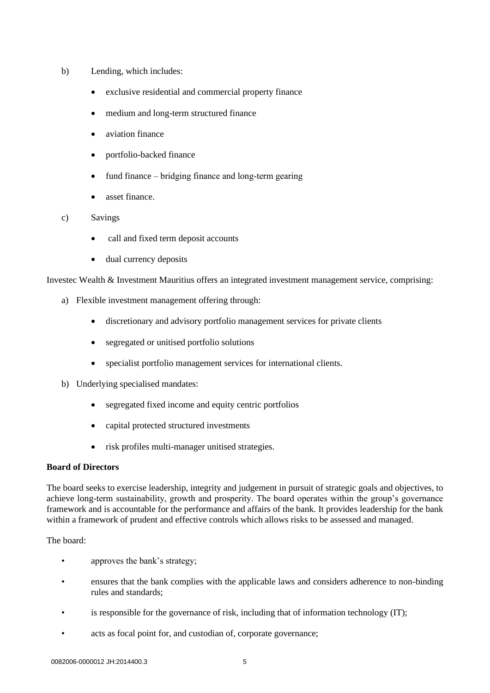- b) Lending, which includes:
	- exclusive residential and commercial property finance
	- medium and long-term structured finance
	- aviation finance
	- portfolio-backed finance
	- fund finance bridging finance and long-term gearing
	- asset finance.
- c) Savings
	- call and fixed term deposit accounts
	- dual currency deposits

Investec Wealth & Investment Mauritius offers an integrated investment management service, comprising:

- a) Flexible investment management offering through:
	- discretionary and advisory portfolio management services for private clients
	- segregated or unitised portfolio solutions
	- specialist portfolio management services for international clients.
- b) Underlying specialised mandates:
	- segregated fixed income and equity centric portfolios
	- capital protected structured investments
	- risk profiles multi-manager unitised strategies.

# **Board of Directors**

The board seeks to exercise leadership, integrity and judgement in pursuit of strategic goals and objectives, to achieve long-term sustainability, growth and prosperity. The board operates within the group's governance framework and is accountable for the performance and affairs of the bank. It provides leadership for the bank within a framework of prudent and effective controls which allows risks to be assessed and managed.

# The board:

- approves the bank's strategy;
- ensures that the bank complies with the applicable laws and considers adherence to non-binding rules and standards;
- is responsible for the governance of risk, including that of information technology (IT);
- acts as focal point for, and custodian of, corporate governance;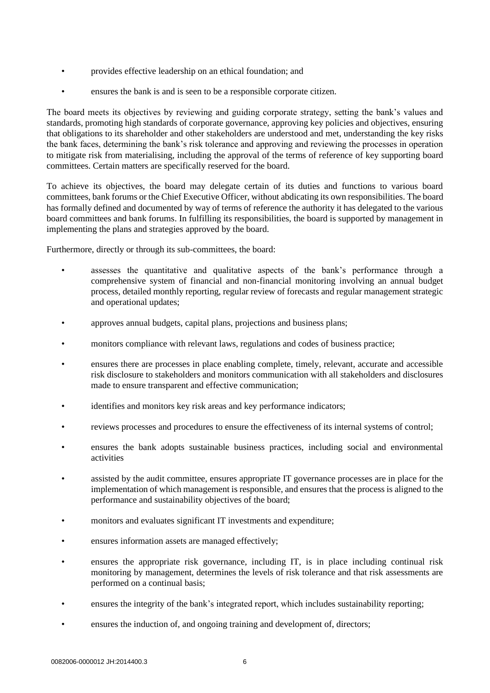- provides effective leadership on an ethical foundation; and
- ensures the bank is and is seen to be a responsible corporate citizen.

The board meets its objectives by reviewing and guiding corporate strategy, setting the bank's values and standards, promoting high standards of corporate governance, approving key policies and objectives, ensuring that obligations to its shareholder and other stakeholders are understood and met, understanding the key risks the bank faces, determining the bank's risk tolerance and approving and reviewing the processes in operation to mitigate risk from materialising, including the approval of the terms of reference of key supporting board committees. Certain matters are specifically reserved for the board.

To achieve its objectives, the board may delegate certain of its duties and functions to various board committees, bank forums or the Chief Executive Officer, without abdicating its own responsibilities. The board has formally defined and documented by way of terms of reference the authority it has delegated to the various board committees and bank forums. In fulfilling its responsibilities, the board is supported by management in implementing the plans and strategies approved by the board.

Furthermore, directly or through its sub-committees, the board:

- assesses the quantitative and qualitative aspects of the bank's performance through a comprehensive system of financial and non-financial monitoring involving an annual budget process, detailed monthly reporting, regular review of forecasts and regular management strategic and operational updates;
- approves annual budgets, capital plans, projections and business plans;
- monitors compliance with relevant laws, regulations and codes of business practice;
- ensures there are processes in place enabling complete, timely, relevant, accurate and accessible risk disclosure to stakeholders and monitors communication with all stakeholders and disclosures made to ensure transparent and effective communication;
- identifies and monitors key risk areas and key performance indicators;
- reviews processes and procedures to ensure the effectiveness of its internal systems of control;
- ensures the bank adopts sustainable business practices, including social and environmental activities
- assisted by the audit committee, ensures appropriate IT governance processes are in place for the implementation of which management is responsible, and ensures that the process is aligned to the performance and sustainability objectives of the board;
- monitors and evaluates significant IT investments and expenditure;
- ensures information assets are managed effectively;
- ensures the appropriate risk governance, including IT, is in place including continual risk monitoring by management, determines the levels of risk tolerance and that risk assessments are performed on a continual basis;
- ensures the integrity of the bank's integrated report, which includes sustainability reporting;
- ensures the induction of, and ongoing training and development of, directors;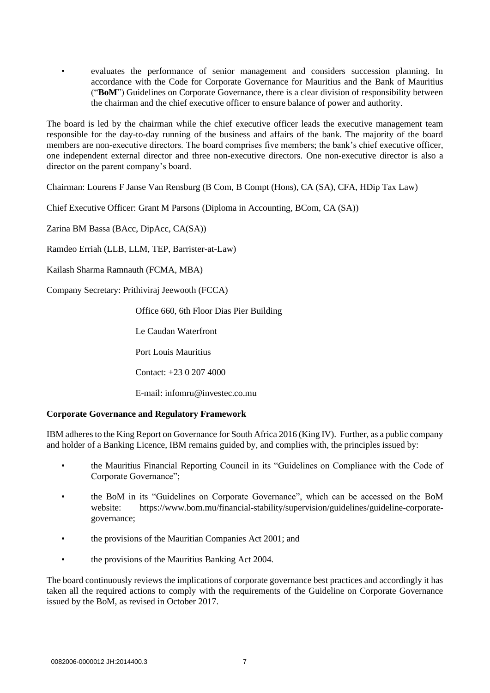• evaluates the performance of senior management and considers succession planning. In accordance with the Code for Corporate Governance for Mauritius and the Bank of Mauritius ("**BoM**") Guidelines on Corporate Governance, there is a clear division of responsibility between the chairman and the chief executive officer to ensure balance of power and authority.

The board is led by the chairman while the chief executive officer leads the executive management team responsible for the day-to-day running of the business and affairs of the bank. The majority of the board members are non-executive directors. The board comprises five members; the bank's chief executive officer, one independent external director and three non-executive directors. One non-executive director is also a director on the parent company's board.

Chairman: Lourens F Janse Van Rensburg (B Com, B Compt (Hons), CA (SA), CFA, HDip Tax Law)

Chief Executive Officer: Grant M Parsons (Diploma in Accounting, BCom, CA (SA))

Zarina BM Bassa (BAcc, DipAcc, CA(SA))

Ramdeo Erriah (LLB, LLM, TEP, Barrister-at-Law)

Kailash Sharma Ramnauth (FCMA, MBA)

Company Secretary: Prithiviraj Jeewooth (FCCA)

Office 660, 6th Floor Dias Pier Building

Le Caudan Waterfront

Port Louis Mauritius

Contact: +23 0 207 4000

E-mail: infomru@investec.co.mu

# **Corporate Governance and Regulatory Framework**

IBM adheres to the King Report on Governance for South Africa 2016 (King IV). Further, as a public company and holder of a Banking Licence, IBM remains guided by, and complies with, the principles issued by:

- the Mauritius Financial Reporting Council in its "Guidelines on Compliance with the Code of Corporate Governance";
- the BoM in its "Guidelines on Corporate Governance", which can be accessed on the BoM website: https://www.bom.mu/financial-stability/supervision/guidelines/guideline-corporategovernance;
- the provisions of the Mauritian Companies Act 2001; and
- the provisions of the Mauritius Banking Act 2004.

The board continuously reviews the implications of corporate governance best practices and accordingly it has taken all the required actions to comply with the requirements of the Guideline on Corporate Governance issued by the BoM, as revised in October 2017.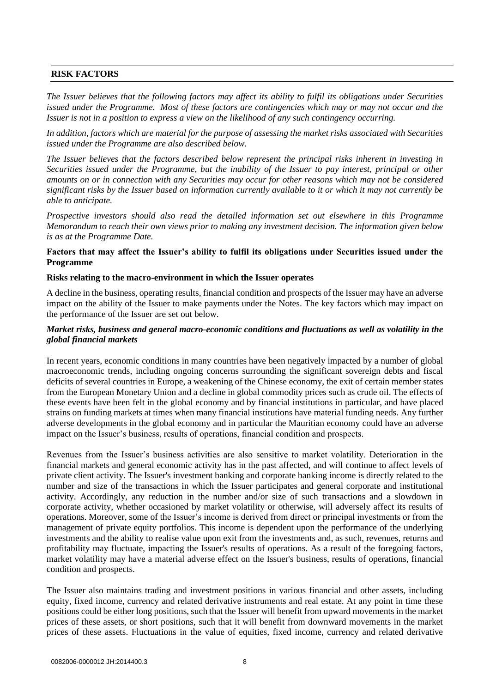# **RISK FACTORS**

*The Issuer believes that the following factors may affect its ability to fulfil its obligations under Securities issued under the Programme. Most of these factors are contingencies which may or may not occur and the Issuer is not in a position to express a view on the likelihood of any such contingency occurring.*

*In addition, factors which are material for the purpose of assessing the market risks associated with Securities issued under the Programme are also described below.*

*The Issuer believes that the factors described below represent the principal risks inherent in investing in Securities issued under the Programme, but the inability of the Issuer to pay interest, principal or other amounts on or in connection with any Securities may occur for other reasons which may not be considered significant risks by the Issuer based on information currently available to it or which it may not currently be able to anticipate.* 

*Prospective investors should also read the detailed information set out elsewhere in this Programme Memorandum to reach their own views prior to making any investment decision. The information given below is as at the Programme Date.*

## **Factors that may affect the Issuer's ability to fulfil its obligations under Securities issued under the Programme**

## **Risks relating to the macro-environment in which the Issuer operates**

A decline in the business, operating results, financial condition and prospects of the Issuer may have an adverse impact on the ability of the Issuer to make payments under the Notes. The key factors which may impact on the performance of the Issuer are set out below.

# *Market risks, business and general macro-economic conditions and fluctuations as well as volatility in the global financial markets*

In recent years, economic conditions in many countries have been negatively impacted by a number of global macroeconomic trends, including ongoing concerns surrounding the significant sovereign debts and fiscal deficits of several countries in Europe, a weakening of the Chinese economy, the exit of certain member states from the European Monetary Union and a decline in global commodity prices such as crude oil. The effects of these events have been felt in the global economy and by financial institutions in particular, and have placed strains on funding markets at times when many financial institutions have material funding needs. Any further adverse developments in the global economy and in particular the Mauritian economy could have an adverse impact on the Issuer's business, results of operations, financial condition and prospects.

Revenues from the Issuer's business activities are also sensitive to market volatility. Deterioration in the financial markets and general economic activity has in the past affected, and will continue to affect levels of private client activity. The Issuer's investment banking and corporate banking income is directly related to the number and size of the transactions in which the Issuer participates and general corporate and institutional activity. Accordingly, any reduction in the number and/or size of such transactions and a slowdown in corporate activity, whether occasioned by market volatility or otherwise, will adversely affect its results of operations. Moreover, some of the Issuer's income is derived from direct or principal investments or from the management of private equity portfolios. This income is dependent upon the performance of the underlying investments and the ability to realise value upon exit from the investments and, as such, revenues, returns and profitability may fluctuate, impacting the Issuer's results of operations. As a result of the foregoing factors, market volatility may have a material adverse effect on the Issuer's business, results of operations, financial condition and prospects.

The Issuer also maintains trading and investment positions in various financial and other assets, including equity, fixed income, currency and related derivative instruments and real estate. At any point in time these positions could be either long positions, such that the Issuer will benefit from upward movements in the market prices of these assets, or short positions, such that it will benefit from downward movements in the market prices of these assets. Fluctuations in the value of equities, fixed income, currency and related derivative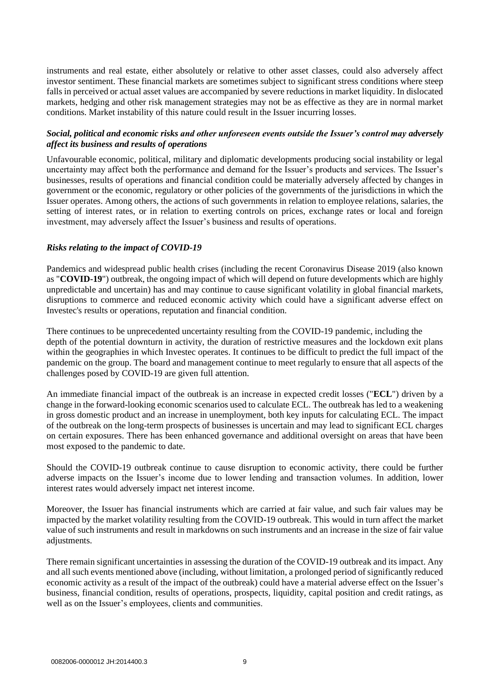instruments and real estate, either absolutely or relative to other asset classes, could also adversely affect investor sentiment. These financial markets are sometimes subject to significant stress conditions where steep falls in perceived or actual asset values are accompanied by severe reductions in market liquidity. In dislocated markets, hedging and other risk management strategies may not be as effective as they are in normal market conditions. Market instability of this nature could result in the Issuer incurring losses.

# *Social, political and economic risks and other unforeseen events outside the Issuer's control may adversely affect its business and results of operations*

Unfavourable economic, political, military and diplomatic developments producing social instability or legal uncertainty may affect both the performance and demand for the Issuer's products and services. The Issuer's businesses, results of operations and financial condition could be materially adversely affected by changes in government or the economic, regulatory or other policies of the governments of the jurisdictions in which the Issuer operates. Among others, the actions of such governments in relation to employee relations, salaries, the setting of interest rates, or in relation to exerting controls on prices, exchange rates or local and foreign investment, may adversely affect the Issuer's business and results of operations.

# *Risks relating to the impact of COVID-19*

Pandemics and widespread public health crises (including the recent Coronavirus Disease 2019 (also known as "**COVID-19**") outbreak, the ongoing impact of which will depend on future developments which are highly unpredictable and uncertain) has and may continue to cause significant volatility in global financial markets, disruptions to commerce and reduced economic activity which could have a significant adverse effect on Investec's results or operations, reputation and financial condition.

There continues to be unprecedented uncertainty resulting from the COVID-19 pandemic, including the depth of the potential downturn in activity, the duration of restrictive measures and the lockdown exit plans within the geographies in which Investec operates. It continues to be difficult to predict the full impact of the pandemic on the group. The board and management continue to meet regularly to ensure that all aspects of the challenges posed by COVID-19 are given full attention.

An immediate financial impact of the outbreak is an increase in expected credit losses ("**ECL**") driven by a change in the forward-looking economic scenarios used to calculate ECL. The outbreak has led to a weakening in gross domestic product and an increase in unemployment, both key inputs for calculating ECL. The impact of the outbreak on the long-term prospects of businesses is uncertain and may lead to significant ECL charges on certain exposures. There has been enhanced governance and additional oversight on areas that have been most exposed to the pandemic to date.

Should the COVID-19 outbreak continue to cause disruption to economic activity, there could be further adverse impacts on the Issuer's income due to lower lending and transaction volumes. In addition, lower interest rates would adversely impact net interest income.

Moreover, the Issuer has financial instruments which are carried at fair value, and such fair values may be impacted by the market volatility resulting from the COVID-19 outbreak. This would in turn affect the market value of such instruments and result in markdowns on such instruments and an increase in the size of fair value adjustments.

There remain significant uncertainties in assessing the duration of the COVID-19 outbreak and its impact. Any and all such events mentioned above (including, without limitation, a prolonged period of significantly reduced economic activity as a result of the impact of the outbreak) could have a material adverse effect on the Issuer's business, financial condition, results of operations, prospects, liquidity, capital position and credit ratings, as well as on the Issuer's employees, clients and communities.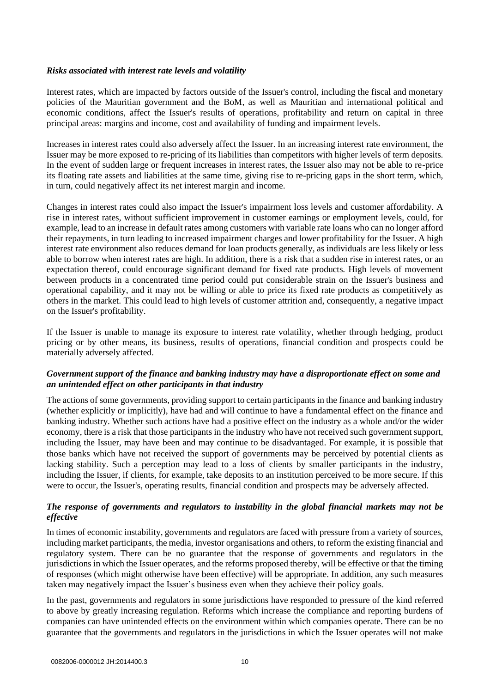# *Risks associated with interest rate levels and volatility*

Interest rates, which are impacted by factors outside of the Issuer's control, including the fiscal and monetary policies of the Mauritian government and the BoM, as well as Mauritian and international political and economic conditions, affect the Issuer's results of operations, profitability and return on capital in three principal areas: margins and income, cost and availability of funding and impairment levels.

Increases in interest rates could also adversely affect the Issuer. In an increasing interest rate environment, the Issuer may be more exposed to re-pricing of its liabilities than competitors with higher levels of term deposits. In the event of sudden large or frequent increases in interest rates, the Issuer also may not be able to re-price its floating rate assets and liabilities at the same time, giving rise to re-pricing gaps in the short term, which, in turn, could negatively affect its net interest margin and income.

Changes in interest rates could also impact the Issuer's impairment loss levels and customer affordability. A rise in interest rates, without sufficient improvement in customer earnings or employment levels, could, for example, lead to an increase in default rates among customers with variable rate loans who can no longer afford their repayments, in turn leading to increased impairment charges and lower profitability for the Issuer. A high interest rate environment also reduces demand for loan products generally, as individuals are less likely or less able to borrow when interest rates are high. In addition, there is a risk that a sudden rise in interest rates, or an expectation thereof, could encourage significant demand for fixed rate products. High levels of movement between products in a concentrated time period could put considerable strain on the Issuer's business and operational capability, and it may not be willing or able to price its fixed rate products as competitively as others in the market. This could lead to high levels of customer attrition and, consequently, a negative impact on the Issuer's profitability.

If the Issuer is unable to manage its exposure to interest rate volatility, whether through hedging, product pricing or by other means, its business, results of operations, financial condition and prospects could be materially adversely affected.

# *Government support of the finance and banking industry may have a disproportionate effect on some and an unintended effect on other participants in that industry*

The actions of some governments, providing support to certain participants in the finance and banking industry (whether explicitly or implicitly), have had and will continue to have a fundamental effect on the finance and banking industry. Whether such actions have had a positive effect on the industry as a whole and/or the wider economy, there is a risk that those participants in the industry who have not received such government support, including the Issuer, may have been and may continue to be disadvantaged. For example, it is possible that those banks which have not received the support of governments may be perceived by potential clients as lacking stability. Such a perception may lead to a loss of clients by smaller participants in the industry, including the Issuer, if clients, for example, take deposits to an institution perceived to be more secure. If this were to occur, the Issuer's, operating results, financial condition and prospects may be adversely affected.

# *The response of governments and regulators to instability in the global financial markets may not be effective*

In times of economic instability, governments and regulators are faced with pressure from a variety of sources, including market participants, the media, investor organisations and others, to reform the existing financial and regulatory system. There can be no guarantee that the response of governments and regulators in the jurisdictions in which the Issuer operates, and the reforms proposed thereby, will be effective or that the timing of responses (which might otherwise have been effective) will be appropriate. In addition, any such measures taken may negatively impact the Issuer's business even when they achieve their policy goals.

In the past, governments and regulators in some jurisdictions have responded to pressure of the kind referred to above by greatly increasing regulation. Reforms which increase the compliance and reporting burdens of companies can have unintended effects on the environment within which companies operate. There can be no guarantee that the governments and regulators in the jurisdictions in which the Issuer operates will not make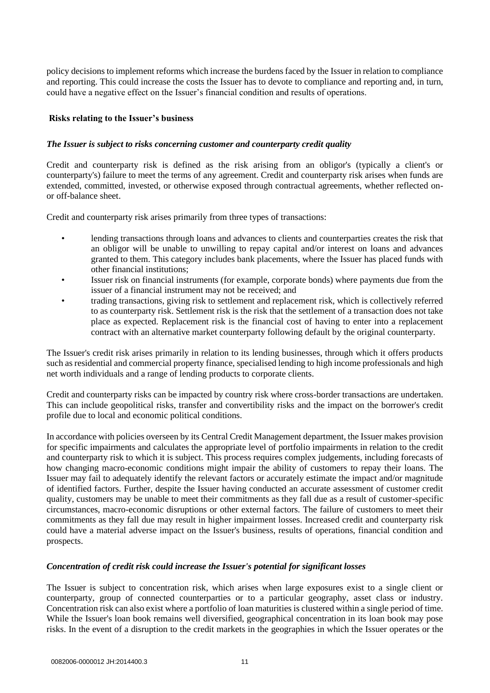policy decisions to implement reforms which increase the burdens faced by the Issuer in relation to compliance and reporting. This could increase the costs the Issuer has to devote to compliance and reporting and, in turn, could have a negative effect on the Issuer's financial condition and results of operations.

# **Risks relating to the Issuer's business**

# *The Issuer is subject to risks concerning customer and counterparty credit quality*

Credit and counterparty risk is defined as the risk arising from an obligor's (typically a client's or counterparty's) failure to meet the terms of any agreement. Credit and counterparty risk arises when funds are extended, committed, invested, or otherwise exposed through contractual agreements, whether reflected onor off-balance sheet.

Credit and counterparty risk arises primarily from three types of transactions:

- lending transactions through loans and advances to clients and counterparties creates the risk that an obligor will be unable to unwilling to repay capital and/or interest on loans and advances granted to them. This category includes bank placements, where the Issuer has placed funds with other financial institutions;
- Issuer risk on financial instruments (for example, corporate bonds) where payments due from the issuer of a financial instrument may not be received; and
- trading transactions, giving risk to settlement and replacement risk, which is collectively referred to as counterparty risk. Settlement risk is the risk that the settlement of a transaction does not take place as expected. Replacement risk is the financial cost of having to enter into a replacement contract with an alternative market counterparty following default by the original counterparty.

The Issuer's credit risk arises primarily in relation to its lending businesses, through which it offers products such as residential and commercial property finance, specialised lending to high income professionals and high net worth individuals and a range of lending products to corporate clients.

Credit and counterparty risks can be impacted by country risk where cross-border transactions are undertaken. This can include geopolitical risks, transfer and convertibility risks and the impact on the borrower's credit profile due to local and economic political conditions.

In accordance with policies overseen by its Central Credit Management department, the Issuer makes provision for specific impairments and calculates the appropriate level of portfolio impairments in relation to the credit and counterparty risk to which it is subject. This process requires complex judgements, including forecasts of how changing macro-economic conditions might impair the ability of customers to repay their loans. The Issuer may fail to adequately identify the relevant factors or accurately estimate the impact and/or magnitude of identified factors. Further, despite the Issuer having conducted an accurate assessment of customer credit quality, customers may be unable to meet their commitments as they fall due as a result of customer-specific circumstances, macro-economic disruptions or other external factors. The failure of customers to meet their commitments as they fall due may result in higher impairment losses. Increased credit and counterparty risk could have a material adverse impact on the Issuer's business, results of operations, financial condition and prospects.

# *Concentration of credit risk could increase the Issuer's potential for significant losses*

The Issuer is subject to concentration risk, which arises when large exposures exist to a single client or counterparty, group of connected counterparties or to a particular geography, asset class or industry. Concentration risk can also exist where a portfolio of loan maturities is clustered within a single period of time. While the Issuer's loan book remains well diversified, geographical concentration in its loan book may pose risks. In the event of a disruption to the credit markets in the geographies in which the Issuer operates or the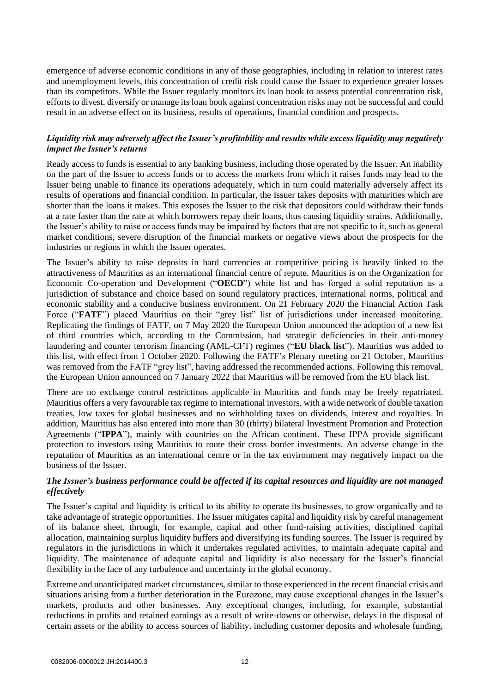emergence of adverse economic conditions in any of those geographies, including in relation to interest rates and unemployment levels, this concentration of credit risk could cause the Issuer to experience greater losses than its competitors. While the Issuer regularly monitors its loan book to assess potential concentration risk, efforts to divest, diversify or manage its loan book against concentration risks may not be successful and could result in an adverse effect on its business, results of operations, financial condition and prospects.

# *Liquidity risk may adversely affect the Issuer's profitability and results while excess liquidity may negatively impact the Issuer's returns*

Ready access to funds is essential to any banking business, including those operated by the Issuer. An inability on the part of the Issuer to access funds or to access the markets from which it raises funds may lead to the Issuer being unable to finance its operations adequately, which in turn could materially adversely affect its results of operations and financial condition. In particular, the Issuer takes deposits with maturities which are shorter than the loans it makes. This exposes the Issuer to the risk that depositors could withdraw their funds at a rate faster than the rate at which borrowers repay their loans, thus causing liquidity strains. Additionally, the Issuer's ability to raise or access funds may be impaired by factors that are not specific to it, such as general market conditions, severe disruption of the financial markets or negative views about the prospects for the industries or regions in which the Issuer operates.

The Issuer's ability to raise deposits in hard currencies at competitive pricing is heavily linked to the attractiveness of Mauritius as an international financial centre of repute. Mauritius is on the Organization for Economic Co-operation and Development ("**OECD**") white list and has forged a solid reputation as a jurisdiction of substance and choice based on sound regulatory practices, international norms, political and economic stability and a conducive business environment. On 21 February 2020 the Financial Action Task Force ("FATF") placed Mauritius on their "grey list" list of jurisdictions under increased monitoring. Replicating the findings of FATF, on 7 May 2020 the European Union announced the adoption of a new list of third countries which, according to the Commission, had strategic deficiencies in their anti-money laundering and counter terrorism financing (AML-CFT) regimes ("**EU black list**"). Mauritius was added to this list, with effect from 1 October 2020. Following the FATF's Plenary meeting on 21 October, Mauritius was removed from the FATF "grey list", having addressed the recommended actions. Following this removal, the European Union announced on 7 January 2022 that Mauritius will be removed from the EU black list.

There are no exchange control restrictions applicable in Mauritius and funds may be freely repatriated. Mauritius offers a very favourable tax regime to international investors, with a wide network of double taxation treaties, low taxes for global businesses and no withholding taxes on dividends, interest and royalties. In addition, Mauritius has also entered into more than 30 (thirty) bilateral Investment Promotion and Protection Agreements ("**IPPA**"), mainly with countries on the African continent. These IPPA provide significant protection to investors using Mauritius to route their cross border investments. An adverse change in the reputation of Mauritius as an international centre or in the tax environment may negatively impact on the business of the Issuer.

# *The Issuer's business performance could be affected if its capital resources and liquidity are not managed effectively*

The Issuer's capital and liquidity is critical to its ability to operate its businesses, to grow organically and to take advantage of strategic opportunities. The Issuer mitigates capital and liquidity risk by careful management of its balance sheet, through, for example, capital and other fund-raising activities, disciplined capital allocation, maintaining surplus liquidity buffers and diversifying its funding sources. The Issuer is required by regulators in the jurisdictions in which it undertakes regulated activities, to maintain adequate capital and liquidity. The maintenance of adequate capital and liquidity is also necessary for the Issuer's financial flexibility in the face of any turbulence and uncertainty in the global economy.

Extreme and unanticipated market circumstances, similar to those experienced in the recent financial crisis and situations arising from a further deterioration in the Eurozone, may cause exceptional changes in the Issuer's markets, products and other businesses. Any exceptional changes, including, for example, substantial reductions in profits and retained earnings as a result of write-downs or otherwise, delays in the disposal of certain assets or the ability to access sources of liability, including customer deposits and wholesale funding,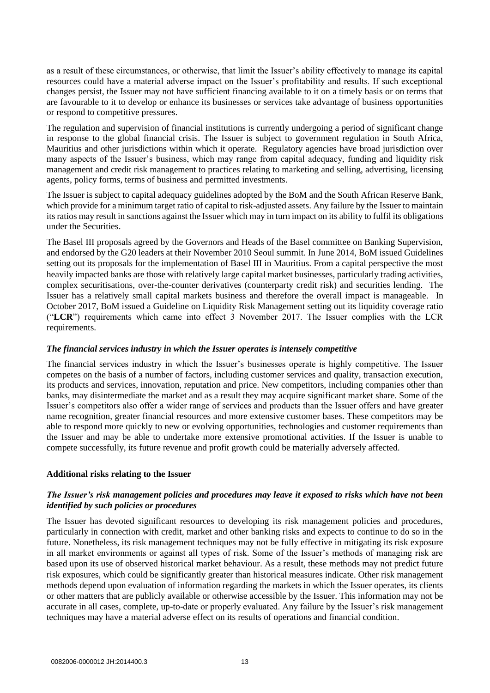as a result of these circumstances, or otherwise, that limit the Issuer's ability effectively to manage its capital resources could have a material adverse impact on the Issuer's profitability and results. If such exceptional changes persist, the Issuer may not have sufficient financing available to it on a timely basis or on terms that are favourable to it to develop or enhance its businesses or services take advantage of business opportunities or respond to competitive pressures.

The regulation and supervision of financial institutions is currently undergoing a period of significant change in response to the global financial crisis. The Issuer is subject to government regulation in South Africa, Mauritius and other jurisdictions within which it operate. Regulatory agencies have broad jurisdiction over many aspects of the Issuer's business, which may range from capital adequacy, funding and liquidity risk management and credit risk management to practices relating to marketing and selling, advertising, licensing agents, policy forms, terms of business and permitted investments.

The Issuer is subject to capital adequacy guidelines adopted by the BoM and the South African Reserve Bank, which provide for a minimum target ratio of capital to risk-adjusted assets. Any failure by the Issuer to maintain its ratios may result in sanctions against the Issuer which may in turn impact on its ability to fulfil its obligations under the Securities.

The Basel III proposals agreed by the Governors and Heads of the Basel committee on Banking Supervision, and endorsed by the G20 leaders at their November 2010 Seoul summit. In June 2014, BoM issued Guidelines setting out its proposals for the implementation of Basel III in Mauritius. From a capital perspective the most heavily impacted banks are those with relatively large capital market businesses, particularly trading activities, complex securitisations, over-the-counter derivatives (counterparty credit risk) and securities lending. The Issuer has a relatively small capital markets business and therefore the overall impact is manageable. In October 2017, BoM issued a Guideline on Liquidity Risk Management setting out its liquidity coverage ratio ("**LCR**") requirements which came into effect 3 November 2017. The Issuer complies with the LCR requirements.

# *The financial services industry in which the Issuer operates is intensely competitive*

The financial services industry in which the Issuer's businesses operate is highly competitive. The Issuer competes on the basis of a number of factors, including customer services and quality, transaction execution, its products and services, innovation, reputation and price. New competitors, including companies other than banks, may disintermediate the market and as a result they may acquire significant market share. Some of the Issuer's competitors also offer a wider range of services and products than the Issuer offers and have greater name recognition, greater financial resources and more extensive customer bases. These competitors may be able to respond more quickly to new or evolving opportunities, technologies and customer requirements than the Issuer and may be able to undertake more extensive promotional activities. If the Issuer is unable to compete successfully, its future revenue and profit growth could be materially adversely affected.

# **Additional risks relating to the Issuer**

# *The Issuer's risk management policies and procedures may leave it exposed to risks which have not been identified by such policies or procedures*

The Issuer has devoted significant resources to developing its risk management policies and procedures, particularly in connection with credit, market and other banking risks and expects to continue to do so in the future. Nonetheless, its risk management techniques may not be fully effective in mitigating its risk exposure in all market environments or against all types of risk. Some of the Issuer's methods of managing risk are based upon its use of observed historical market behaviour. As a result, these methods may not predict future risk exposures, which could be significantly greater than historical measures indicate. Other risk management methods depend upon evaluation of information regarding the markets in which the Issuer operates, its clients or other matters that are publicly available or otherwise accessible by the Issuer. This information may not be accurate in all cases, complete, up-to-date or properly evaluated. Any failure by the Issuer's risk management techniques may have a material adverse effect on its results of operations and financial condition.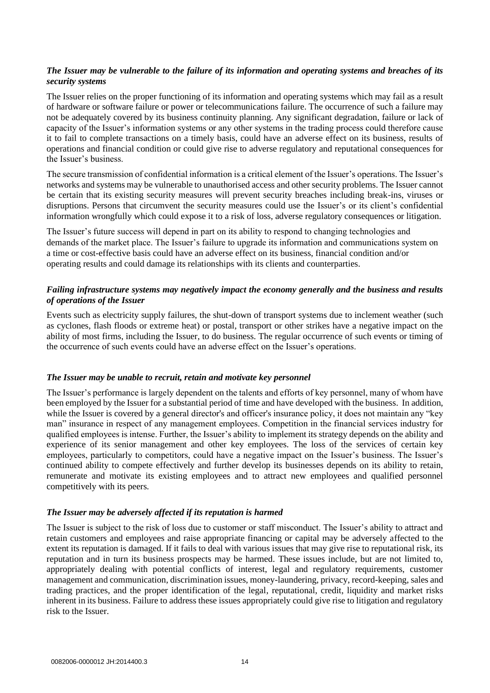# *The Issuer may be vulnerable to the failure of its information and operating systems and breaches of its security systems*

The Issuer relies on the proper functioning of its information and operating systems which may fail as a result of hardware or software failure or power or telecommunications failure. The occurrence of such a failure may not be adequately covered by its business continuity planning. Any significant degradation, failure or lack of capacity of the Issuer's information systems or any other systems in the trading process could therefore cause it to fail to complete transactions on a timely basis, could have an adverse effect on its business, results of operations and financial condition or could give rise to adverse regulatory and reputational consequences for the Issuer's business.

The secure transmission of confidential information is a critical element of the Issuer's operations. The Issuer's networks and systems may be vulnerable to unauthorised access and other security problems. The Issuer cannot be certain that its existing security measures will prevent security breaches including break-ins, viruses or disruptions. Persons that circumvent the security measures could use the Issuer's or its client's confidential information wrongfully which could expose it to a risk of loss, adverse regulatory consequences or litigation.

The Issuer's future success will depend in part on its ability to respond to changing technologies and demands of the market place. The Issuer's failure to upgrade its information and communications system on a time or cost-effective basis could have an adverse effect on its business, financial condition and/or operating results and could damage its relationships with its clients and counterparties.

# *Failing infrastructure systems may negatively impact the economy generally and the business and results of operations of the Issuer*

Events such as electricity supply failures, the shut-down of transport systems due to inclement weather (such as cyclones, flash floods or extreme heat) or postal, transport or other strikes have a negative impact on the ability of most firms, including the Issuer, to do business. The regular occurrence of such events or timing of the occurrence of such events could have an adverse effect on the Issuer's operations.

# *The Issuer may be unable to recruit, retain and motivate key personnel*

The Issuer's performance is largely dependent on the talents and efforts of key personnel, many of whom have been employed by the Issuer for a substantial period of time and have developed with the business. In addition, while the Issuer is covered by a general director's and officer's insurance policy, it does not maintain any "key man" insurance in respect of any management employees. Competition in the financial services industry for qualified employees is intense. Further, the Issuer's ability to implement its strategy depends on the ability and experience of its senior management and other key employees. The loss of the services of certain key employees, particularly to competitors, could have a negative impact on the Issuer's business. The Issuer's continued ability to compete effectively and further develop its businesses depends on its ability to retain, remunerate and motivate its existing employees and to attract new employees and qualified personnel competitively with its peers.

#### *The Issuer may be adversely affected if its reputation is harmed*

The Issuer is subject to the risk of loss due to customer or staff misconduct. The Issuer's ability to attract and retain customers and employees and raise appropriate financing or capital may be adversely affected to the extent its reputation is damaged. If it fails to deal with various issues that may give rise to reputational risk, its reputation and in turn its business prospects may be harmed. These issues include, but are not limited to, appropriately dealing with potential conflicts of interest, legal and regulatory requirements, customer management and communication, discrimination issues, money-laundering, privacy, record-keeping, sales and trading practices, and the proper identification of the legal, reputational, credit, liquidity and market risks inherent in its business. Failure to address these issues appropriately could give rise to litigation and regulatory risk to the Issuer.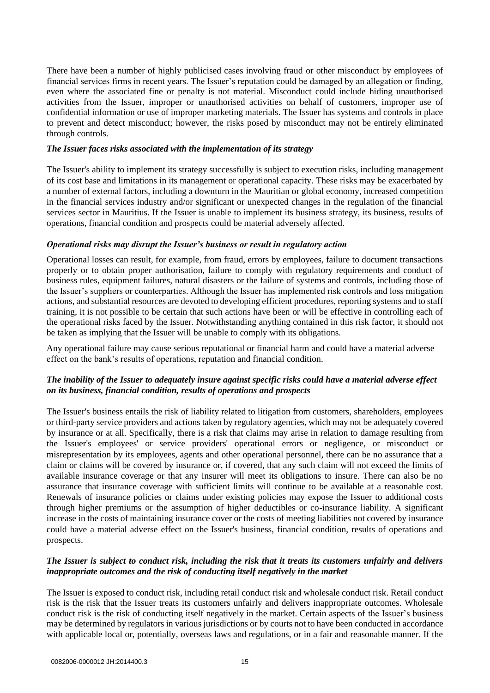There have been a number of highly publicised cases involving fraud or other misconduct by employees of financial services firms in recent years. The Issuer's reputation could be damaged by an allegation or finding, even where the associated fine or penalty is not material. Misconduct could include hiding unauthorised activities from the Issuer, improper or unauthorised activities on behalf of customers, improper use of confidential information or use of improper marketing materials. The Issuer has systems and controls in place to prevent and detect misconduct; however, the risks posed by misconduct may not be entirely eliminated through controls.

# *The Issuer faces risks associated with the implementation of its strategy*

The Issuer's ability to implement its strategy successfully is subject to execution risks, including management of its cost base and limitations in its management or operational capacity. These risks may be exacerbated by a number of external factors, including a downturn in the Mauritian or global economy, increased competition in the financial services industry and/or significant or unexpected changes in the regulation of the financial services sector in Mauritius. If the Issuer is unable to implement its business strategy, its business, results of operations, financial condition and prospects could be material adversely affected.

# *Operational risks may disrupt the Issuer's business or result in regulatory action*

Operational losses can result, for example, from fraud, errors by employees, failure to document transactions properly or to obtain proper authorisation, failure to comply with regulatory requirements and conduct of business rules, equipment failures, natural disasters or the failure of systems and controls, including those of the Issuer's suppliers or counterparties. Although the Issuer has implemented risk controls and loss mitigation actions, and substantial resources are devoted to developing efficient procedures, reporting systems and to staff training, it is not possible to be certain that such actions have been or will be effective in controlling each of the operational risks faced by the Issuer. Notwithstanding anything contained in this risk factor, it should not be taken as implying that the Issuer will be unable to comply with its obligations.

Any operational failure may cause serious reputational or financial harm and could have a material adverse effect on the bank's results of operations, reputation and financial condition.

# *The inability of the Issuer to adequately insure against specific risks could have a material adverse effect on its business, financial condition, results of operations and prospects*

The Issuer's business entails the risk of liability related to litigation from customers, shareholders, employees or third-party service providers and actions taken by regulatory agencies, which may not be adequately covered by insurance or at all. Specifically, there is a risk that claims may arise in relation to damage resulting from the Issuer's employees' or service providers' operational errors or negligence, or misconduct or misrepresentation by its employees, agents and other operational personnel, there can be no assurance that a claim or claims will be covered by insurance or, if covered, that any such claim will not exceed the limits of available insurance coverage or that any insurer will meet its obligations to insure. There can also be no assurance that insurance coverage with sufficient limits will continue to be available at a reasonable cost. Renewals of insurance policies or claims under existing policies may expose the Issuer to additional costs through higher premiums or the assumption of higher deductibles or co-insurance liability. A significant increase in the costs of maintaining insurance cover or the costs of meeting liabilities not covered by insurance could have a material adverse effect on the Issuer's business, financial condition, results of operations and prospects.

# *The Issuer is subject to conduct risk, including the risk that it treats its customers unfairly and delivers inappropriate outcomes and the risk of conducting itself negatively in the market*

The Issuer is exposed to conduct risk, including retail conduct risk and wholesale conduct risk. Retail conduct risk is the risk that the Issuer treats its customers unfairly and delivers inappropriate outcomes. Wholesale conduct risk is the risk of conducting itself negatively in the market. Certain aspects of the Issuer's business may be determined by regulators in various jurisdictions or by courts not to have been conducted in accordance with applicable local or, potentially, overseas laws and regulations, or in a fair and reasonable manner. If the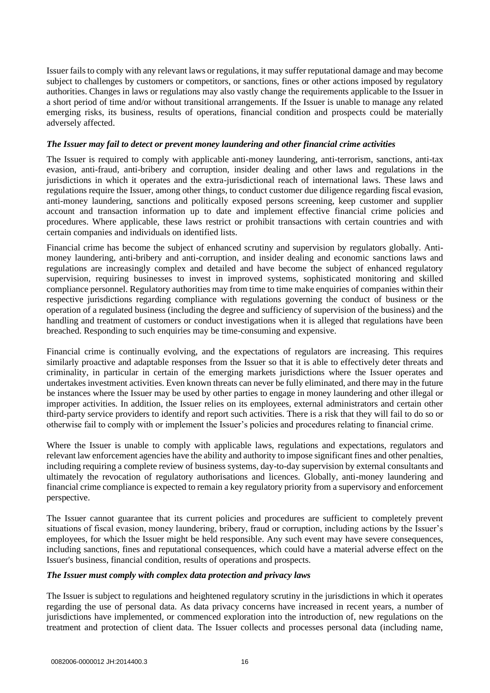Issuer fails to comply with any relevant laws or regulations, it may suffer reputational damage and may become subject to challenges by customers or competitors, or sanctions, fines or other actions imposed by regulatory authorities. Changes in laws or regulations may also vastly change the requirements applicable to the Issuer in a short period of time and/or without transitional arrangements. If the Issuer is unable to manage any related emerging risks, its business, results of operations, financial condition and prospects could be materially adversely affected.

# *The Issuer may fail to detect or prevent money laundering and other financial crime activities*

The Issuer is required to comply with applicable anti-money laundering, anti-terrorism, sanctions, anti-tax evasion, anti-fraud, anti-bribery and corruption, insider dealing and other laws and regulations in the jurisdictions in which it operates and the extra-jurisdictional reach of international laws. These laws and regulations require the Issuer, among other things, to conduct customer due diligence regarding fiscal evasion, anti-money laundering, sanctions and politically exposed persons screening, keep customer and supplier account and transaction information up to date and implement effective financial crime policies and procedures. Where applicable, these laws restrict or prohibit transactions with certain countries and with certain companies and individuals on identified lists.

Financial crime has become the subject of enhanced scrutiny and supervision by regulators globally. Antimoney laundering, anti-bribery and anti-corruption, and insider dealing and economic sanctions laws and regulations are increasingly complex and detailed and have become the subject of enhanced regulatory supervision, requiring businesses to invest in improved systems, sophisticated monitoring and skilled compliance personnel. Regulatory authorities may from time to time make enquiries of companies within their respective jurisdictions regarding compliance with regulations governing the conduct of business or the operation of a regulated business (including the degree and sufficiency of supervision of the business) and the handling and treatment of customers or conduct investigations when it is alleged that regulations have been breached. Responding to such enquiries may be time-consuming and expensive.

Financial crime is continually evolving, and the expectations of regulators are increasing. This requires similarly proactive and adaptable responses from the Issuer so that it is able to effectively deter threats and criminality, in particular in certain of the emerging markets jurisdictions where the Issuer operates and undertakes investment activities. Even known threats can never be fully eliminated, and there may in the future be instances where the Issuer may be used by other parties to engage in money laundering and other illegal or improper activities. In addition, the Issuer relies on its employees, external administrators and certain other third-party service providers to identify and report such activities. There is a risk that they will fail to do so or otherwise fail to comply with or implement the Issuer's policies and procedures relating to financial crime.

Where the Issuer is unable to comply with applicable laws, regulations and expectations, regulators and relevant law enforcement agencies have the ability and authority to impose significant fines and other penalties, including requiring a complete review of business systems, day-to-day supervision by external consultants and ultimately the revocation of regulatory authorisations and licences. Globally, anti-money laundering and financial crime compliance is expected to remain a key regulatory priority from a supervisory and enforcement perspective.

The Issuer cannot guarantee that its current policies and procedures are sufficient to completely prevent situations of fiscal evasion, money laundering, bribery, fraud or corruption, including actions by the Issuer's employees, for which the Issuer might be held responsible. Any such event may have severe consequences, including sanctions, fines and reputational consequences, which could have a material adverse effect on the Issuer's business, financial condition, results of operations and prospects.

# *The Issuer must comply with complex data protection and privacy laws*

The Issuer is subject to regulations and heightened regulatory scrutiny in the jurisdictions in which it operates regarding the use of personal data. As data privacy concerns have increased in recent years, a number of jurisdictions have implemented, or commenced exploration into the introduction of, new regulations on the treatment and protection of client data. The Issuer collects and processes personal data (including name,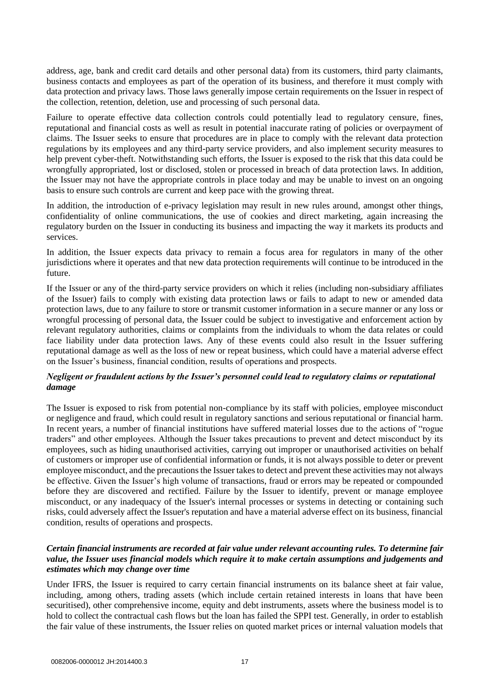address, age, bank and credit card details and other personal data) from its customers, third party claimants, business contacts and employees as part of the operation of its business, and therefore it must comply with data protection and privacy laws. Those laws generally impose certain requirements on the Issuer in respect of the collection, retention, deletion, use and processing of such personal data.

Failure to operate effective data collection controls could potentially lead to regulatory censure, fines, reputational and financial costs as well as result in potential inaccurate rating of policies or overpayment of claims. The Issuer seeks to ensure that procedures are in place to comply with the relevant data protection regulations by its employees and any third-party service providers, and also implement security measures to help prevent cyber-theft. Notwithstanding such efforts, the Issuer is exposed to the risk that this data could be wrongfully appropriated, lost or disclosed, stolen or processed in breach of data protection laws. In addition, the Issuer may not have the appropriate controls in place today and may be unable to invest on an ongoing basis to ensure such controls are current and keep pace with the growing threat.

In addition, the introduction of e-privacy legislation may result in new rules around, amongst other things, confidentiality of online communications, the use of cookies and direct marketing, again increasing the regulatory burden on the Issuer in conducting its business and impacting the way it markets its products and services.

In addition, the Issuer expects data privacy to remain a focus area for regulators in many of the other jurisdictions where it operates and that new data protection requirements will continue to be introduced in the future.

If the Issuer or any of the third-party service providers on which it relies (including non-subsidiary affiliates of the Issuer) fails to comply with existing data protection laws or fails to adapt to new or amended data protection laws, due to any failure to store or transmit customer information in a secure manner or any loss or wrongful processing of personal data, the Issuer could be subject to investigative and enforcement action by relevant regulatory authorities, claims or complaints from the individuals to whom the data relates or could face liability under data protection laws. Any of these events could also result in the Issuer suffering reputational damage as well as the loss of new or repeat business, which could have a material adverse effect on the Issuer's business, financial condition, results of operations and prospects.

# *Negligent or fraudulent actions by the Issuer's personnel could lead to regulatory claims or reputational damage*

The Issuer is exposed to risk from potential non-compliance by its staff with policies, employee misconduct or negligence and fraud, which could result in regulatory sanctions and serious reputational or financial harm. In recent years, a number of financial institutions have suffered material losses due to the actions of "rogue traders" and other employees. Although the Issuer takes precautions to prevent and detect misconduct by its employees, such as hiding unauthorised activities, carrying out improper or unauthorised activities on behalf of customers or improper use of confidential information or funds, it is not always possible to deter or prevent employee misconduct, and the precautions the Issuer takes to detect and prevent these activities may not always be effective. Given the Issuer's high volume of transactions, fraud or errors may be repeated or compounded before they are discovered and rectified. Failure by the Issuer to identify, prevent or manage employee misconduct, or any inadequacy of the Issuer's internal processes or systems in detecting or containing such risks, could adversely affect the Issuer's reputation and have a material adverse effect on its business, financial condition, results of operations and prospects.

# *Certain financial instruments are recorded at fair value under relevant accounting rules. To determine fair value, the Issuer uses financial models which require it to make certain assumptions and judgements and estimates which may change over time*

Under IFRS, the Issuer is required to carry certain financial instruments on its balance sheet at fair value, including, among others, trading assets (which include certain retained interests in loans that have been securitised), other comprehensive income, equity and debt instruments, assets where the business model is to hold to collect the contractual cash flows but the loan has failed the SPPI test. Generally, in order to establish the fair value of these instruments, the Issuer relies on quoted market prices or internal valuation models that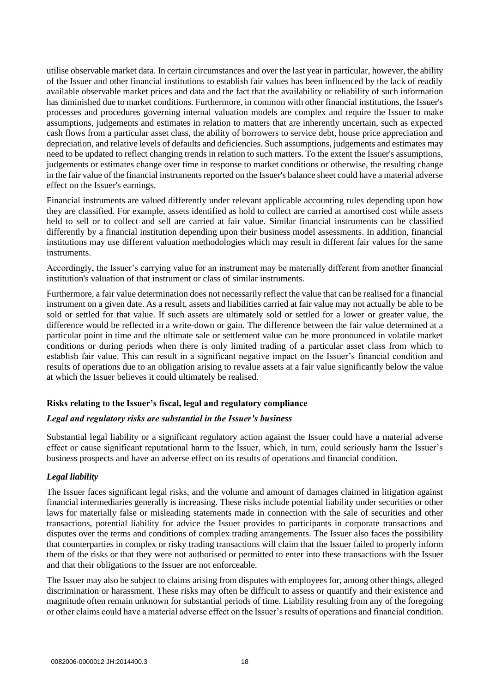utilise observable market data. In certain circumstances and over the last year in particular, however, the ability of the Issuer and other financial institutions to establish fair values has been influenced by the lack of readily available observable market prices and data and the fact that the availability or reliability of such information has diminished due to market conditions. Furthermore, in common with other financial institutions, the Issuer's processes and procedures governing internal valuation models are complex and require the Issuer to make assumptions, judgements and estimates in relation to matters that are inherently uncertain, such as expected cash flows from a particular asset class, the ability of borrowers to service debt, house price appreciation and depreciation, and relative levels of defaults and deficiencies. Such assumptions, judgements and estimates may need to be updated to reflect changing trends in relation to such matters. To the extent the Issuer's assumptions, judgements or estimates change over time in response to market conditions or otherwise, the resulting change in the fair value of the financial instruments reported on the Issuer's balance sheet could have a material adverse effect on the Issuer's earnings.

Financial instruments are valued differently under relevant applicable accounting rules depending upon how they are classified. For example, assets identified as hold to collect are carried at amortised cost while assets held to sell or to collect and sell are carried at fair value. Similar financial instruments can be classified differently by a financial institution depending upon their business model assessments. In addition, financial institutions may use different valuation methodologies which may result in different fair values for the same instruments.

Accordingly, the Issuer's carrying value for an instrument may be materially different from another financial institution's valuation of that instrument or class of similar instruments.

Furthermore, a fair value determination does not necessarily reflect the value that can be realised for a financial instrument on a given date. As a result, assets and liabilities carried at fair value may not actually be able to be sold or settled for that value. If such assets are ultimately sold or settled for a lower or greater value, the difference would be reflected in a write-down or gain. The difference between the fair value determined at a particular point in time and the ultimate sale or settlement value can be more pronounced in volatile market conditions or during periods when there is only limited trading of a particular asset class from which to establish fair value. This can result in a significant negative impact on the Issuer's financial condition and results of operations due to an obligation arising to revalue assets at a fair value significantly below the value at which the Issuer believes it could ultimately be realised.

# **Risks relating to the Issuer's fiscal, legal and regulatory compliance**

#### *Legal and regulatory risks are substantial in the Issuer's business*

Substantial legal liability or a significant regulatory action against the Issuer could have a material adverse effect or cause significant reputational harm to the Issuer, which, in turn, could seriously harm the Issuer's business prospects and have an adverse effect on its results of operations and financial condition.

# *Legal liability*

The Issuer faces significant legal risks, and the volume and amount of damages claimed in litigation against financial intermediaries generally is increasing. These risks include potential liability under securities or other laws for materially false or misleading statements made in connection with the sale of securities and other transactions, potential liability for advice the Issuer provides to participants in corporate transactions and disputes over the terms and conditions of complex trading arrangements. The Issuer also faces the possibility that counterparties in complex or risky trading transactions will claim that the Issuer failed to properly inform them of the risks or that they were not authorised or permitted to enter into these transactions with the Issuer and that their obligations to the Issuer are not enforceable.

The Issuer may also be subject to claims arising from disputes with employees for, among other things, alleged discrimination or harassment. These risks may often be difficult to assess or quantify and their existence and magnitude often remain unknown for substantial periods of time. Liability resulting from any of the foregoing or other claims could have a material adverse effect on the Issuer's results of operations and financial condition.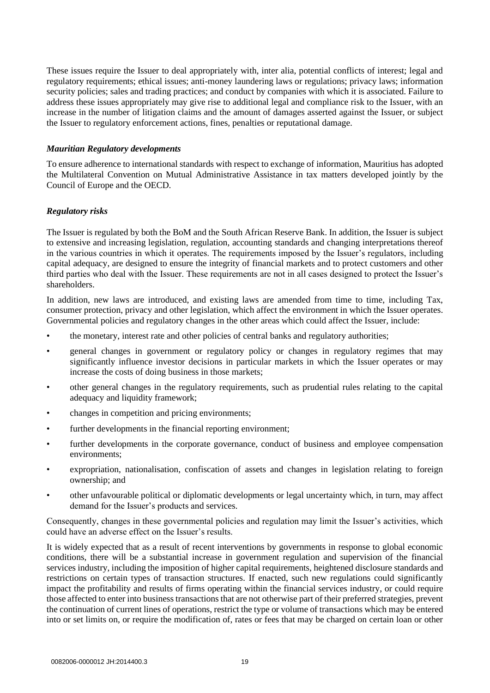These issues require the Issuer to deal appropriately with, inter alia, potential conflicts of interest; legal and regulatory requirements; ethical issues; anti-money laundering laws or regulations; privacy laws; information security policies; sales and trading practices; and conduct by companies with which it is associated. Failure to address these issues appropriately may give rise to additional legal and compliance risk to the Issuer, with an increase in the number of litigation claims and the amount of damages asserted against the Issuer, or subject the Issuer to regulatory enforcement actions, fines, penalties or reputational damage.

## *Mauritian Regulatory developments*

To ensure adherence to international standards with respect to exchange of information, Mauritius has adopted the Multilateral Convention on Mutual Administrative Assistance in tax matters developed jointly by the Council of Europe and the OECD.

## *Regulatory risks*

The Issuer is regulated by both the BoM and the South African Reserve Bank. In addition, the Issuer is subject to extensive and increasing legislation, regulation, accounting standards and changing interpretations thereof in the various countries in which it operates. The requirements imposed by the Issuer's regulators, including capital adequacy, are designed to ensure the integrity of financial markets and to protect customers and other third parties who deal with the Issuer. These requirements are not in all cases designed to protect the Issuer's shareholders.

In addition, new laws are introduced, and existing laws are amended from time to time, including Tax, consumer protection, privacy and other legislation, which affect the environment in which the Issuer operates. Governmental policies and regulatory changes in the other areas which could affect the Issuer, include:

- the monetary, interest rate and other policies of central banks and regulatory authorities;
- general changes in government or regulatory policy or changes in regulatory regimes that may significantly influence investor decisions in particular markets in which the Issuer operates or may increase the costs of doing business in those markets;
- other general changes in the regulatory requirements, such as prudential rules relating to the capital adequacy and liquidity framework;
- changes in competition and pricing environments;
- further developments in the financial reporting environment:
- further developments in the corporate governance, conduct of business and employee compensation environments;
- expropriation, nationalisation, confiscation of assets and changes in legislation relating to foreign ownership; and
- other unfavourable political or diplomatic developments or legal uncertainty which, in turn, may affect demand for the Issuer's products and services.

Consequently, changes in these governmental policies and regulation may limit the Issuer's activities, which could have an adverse effect on the Issuer's results.

It is widely expected that as a result of recent interventions by governments in response to global economic conditions, there will be a substantial increase in government regulation and supervision of the financial services industry, including the imposition of higher capital requirements, heightened disclosure standards and restrictions on certain types of transaction structures. If enacted, such new regulations could significantly impact the profitability and results of firms operating within the financial services industry, or could require those affected to enter into business transactions that are not otherwise part of their preferred strategies, prevent the continuation of current lines of operations, restrict the type or volume of transactions which may be entered into or set limits on, or require the modification of, rates or fees that may be charged on certain loan or other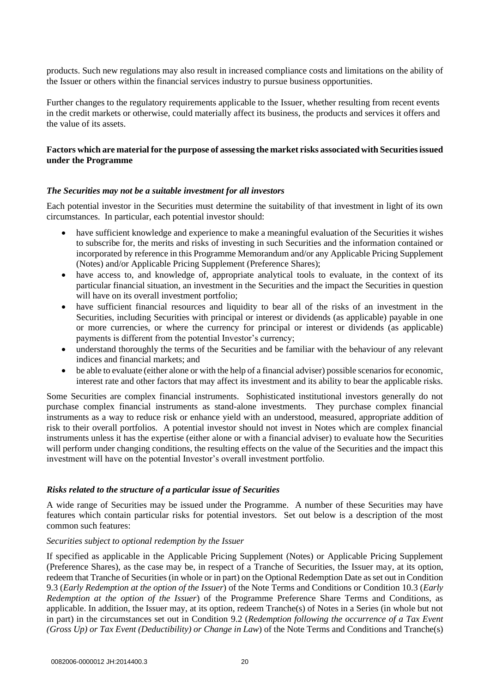products. Such new regulations may also result in increased compliance costs and limitations on the ability of the Issuer or others within the financial services industry to pursue business opportunities.

Further changes to the regulatory requirements applicable to the Issuer, whether resulting from recent events in the credit markets or otherwise, could materially affect its business, the products and services it offers and the value of its assets.

# **Factors which are material for the purpose of assessing the market risks associated with Securities issued under the Programme**

## *The Securities may not be a suitable investment for all investors*

Each potential investor in the Securities must determine the suitability of that investment in light of its own circumstances. In particular, each potential investor should:

- have sufficient knowledge and experience to make a meaningful evaluation of the Securities it wishes to subscribe for, the merits and risks of investing in such Securities and the information contained or incorporated by reference in this Programme Memorandum and/or any Applicable Pricing Supplement (Notes) and/or Applicable Pricing Supplement (Preference Shares);
- have access to, and knowledge of, appropriate analytical tools to evaluate, in the context of its particular financial situation, an investment in the Securities and the impact the Securities in question will have on its overall investment portfolio;
- have sufficient financial resources and liquidity to bear all of the risks of an investment in the Securities, including Securities with principal or interest or dividends (as applicable) payable in one or more currencies, or where the currency for principal or interest or dividends (as applicable) payments is different from the potential Investor's currency;
- understand thoroughly the terms of the Securities and be familiar with the behaviour of any relevant indices and financial markets; and
- be able to evaluate (either alone or with the help of a financial adviser) possible scenarios for economic, interest rate and other factors that may affect its investment and its ability to bear the applicable risks.

Some Securities are complex financial instruments. Sophisticated institutional investors generally do not purchase complex financial instruments as stand-alone investments. They purchase complex financial instruments as a way to reduce risk or enhance yield with an understood, measured, appropriate addition of risk to their overall portfolios. A potential investor should not invest in Notes which are complex financial instruments unless it has the expertise (either alone or with a financial adviser) to evaluate how the Securities will perform under changing conditions, the resulting effects on the value of the Securities and the impact this investment will have on the potential Investor's overall investment portfolio.

#### *Risks related to the structure of a particular issue of Securities*

A wide range of Securities may be issued under the Programme. A number of these Securities may have features which contain particular risks for potential investors. Set out below is a description of the most common such features:

#### *Securities subject to optional redemption by the Issuer*

If specified as applicable in the Applicable Pricing Supplement (Notes) or Applicable Pricing Supplement (Preference Shares), as the case may be, in respect of a Tranche of Securities, the Issuer may, at its option, redeem that Tranche of Securities (in whole or in part) on the Optional Redemption Date as set out in Condition 9.3 (*Early Redemption at the option of the Issuer*) of the Note Terms and Conditions or Condition 10.3 (*Early Redemption at the option of the Issuer*) of the Programme Preference Share Terms and Conditions, as applicable. In addition, the Issuer may, at its option, redeem Tranche(s) of Notes in a Series (in whole but not in part) in the circumstances set out in Condition 9.2 (*Redemption following the occurrence of a Tax Event (Gross Up) or Tax Event (Deductibility) or Change in Law*) of the Note Terms and Conditions and Tranche(s)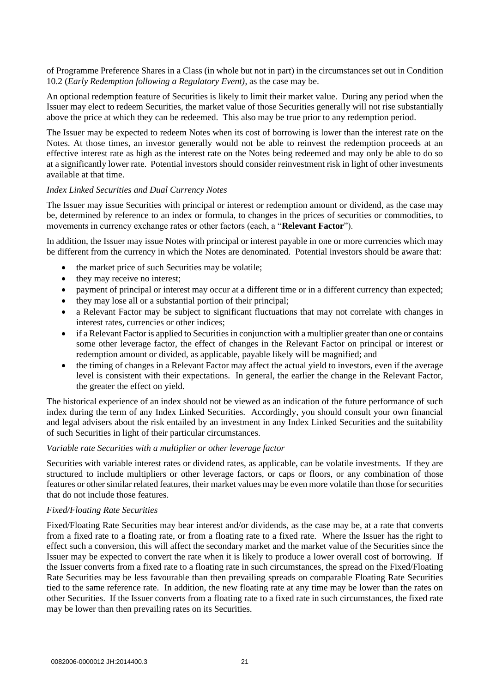of Programme Preference Shares in a Class (in whole but not in part) in the circumstances set out in Condition 10.2 (*Early Redemption following a Regulatory Event)*, as the case may be.

An optional redemption feature of Securities is likely to limit their market value. During any period when the Issuer may elect to redeem Securities, the market value of those Securities generally will not rise substantially above the price at which they can be redeemed. This also may be true prior to any redemption period.

The Issuer may be expected to redeem Notes when its cost of borrowing is lower than the interest rate on the Notes. At those times, an investor generally would not be able to reinvest the redemption proceeds at an effective interest rate as high as the interest rate on the Notes being redeemed and may only be able to do so at a significantly lower rate. Potential investors should consider reinvestment risk in light of other investments available at that time.

#### *Index Linked Securities and Dual Currency Notes*

The Issuer may issue Securities with principal or interest or redemption amount or dividend, as the case may be, determined by reference to an index or formula, to changes in the prices of securities or commodities, to movements in currency exchange rates or other factors (each, a "**Relevant Factor**").

In addition, the Issuer may issue Notes with principal or interest payable in one or more currencies which may be different from the currency in which the Notes are denominated. Potential investors should be aware that:

- the market price of such Securities may be volatile;
- they may receive no interest;
- payment of principal or interest may occur at a different time or in a different currency than expected;
- they may lose all or a substantial portion of their principal;
- a Relevant Factor may be subject to significant fluctuations that may not correlate with changes in interest rates, currencies or other indices;
- if a Relevant Factor is applied to Securities in conjunction with a multiplier greater than one or contains some other leverage factor, the effect of changes in the Relevant Factor on principal or interest or redemption amount or divided, as applicable, payable likely will be magnified; and
- the timing of changes in a Relevant Factor may affect the actual yield to investors, even if the average level is consistent with their expectations. In general, the earlier the change in the Relevant Factor, the greater the effect on yield.

The historical experience of an index should not be viewed as an indication of the future performance of such index during the term of any Index Linked Securities. Accordingly, you should consult your own financial and legal advisers about the risk entailed by an investment in any Index Linked Securities and the suitability of such Securities in light of their particular circumstances.

#### *Variable rate Securities with a multiplier or other leverage factor*

Securities with variable interest rates or dividend rates, as applicable, can be volatile investments. If they are structured to include multipliers or other leverage factors, or caps or floors, or any combination of those features or other similar related features, their market values may be even more volatile than those for securities that do not include those features.

#### *Fixed/Floating Rate Securities*

Fixed/Floating Rate Securities may bear interest and/or dividends, as the case may be, at a rate that converts from a fixed rate to a floating rate, or from a floating rate to a fixed rate. Where the Issuer has the right to effect such a conversion, this will affect the secondary market and the market value of the Securities since the Issuer may be expected to convert the rate when it is likely to produce a lower overall cost of borrowing. If the Issuer converts from a fixed rate to a floating rate in such circumstances, the spread on the Fixed/Floating Rate Securities may be less favourable than then prevailing spreads on comparable Floating Rate Securities tied to the same reference rate. In addition, the new floating rate at any time may be lower than the rates on other Securities. If the Issuer converts from a floating rate to a fixed rate in such circumstances, the fixed rate may be lower than then prevailing rates on its Securities.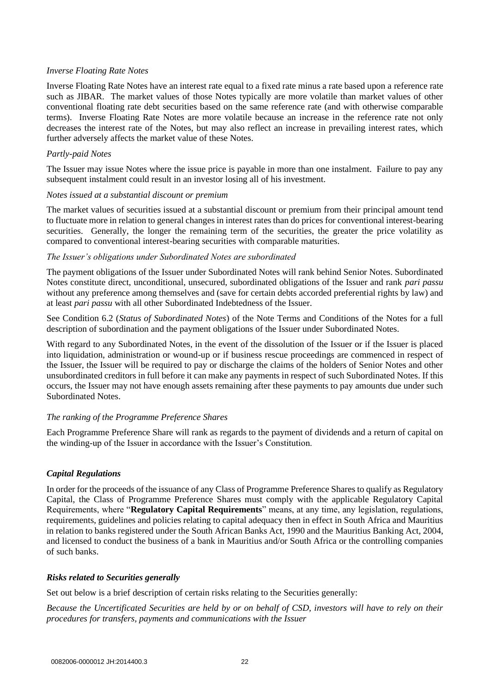# *Inverse Floating Rate Notes*

Inverse Floating Rate Notes have an interest rate equal to a fixed rate minus a rate based upon a reference rate such as JIBAR. The market values of those Notes typically are more volatile than market values of other conventional floating rate debt securities based on the same reference rate (and with otherwise comparable terms). Inverse Floating Rate Notes are more volatile because an increase in the reference rate not only decreases the interest rate of the Notes, but may also reflect an increase in prevailing interest rates, which further adversely affects the market value of these Notes.

# *Partly-paid Notes*

The Issuer may issue Notes where the issue price is payable in more than one instalment. Failure to pay any subsequent instalment could result in an investor losing all of his investment.

# *Notes issued at a substantial discount or premium*

The market values of securities issued at a substantial discount or premium from their principal amount tend to fluctuate more in relation to general changes in interest rates than do prices for conventional interest-bearing securities. Generally, the longer the remaining term of the securities, the greater the price volatility as compared to conventional interest-bearing securities with comparable maturities.

# *The Issuer's obligations under Subordinated Notes are subordinated*

The payment obligations of the Issuer under Subordinated Notes will rank behind Senior Notes. Subordinated Notes constitute direct, unconditional, unsecured, subordinated obligations of the Issuer and rank *pari passu* without any preference among themselves and (save for certain debts accorded preferential rights by law) and at least *pari passu* with all other Subordinated Indebtedness of the Issuer.

See Condition 6.2 (*Status of Subordinated Notes*) of the Note Terms and Conditions of the Notes for a full description of subordination and the payment obligations of the Issuer under Subordinated Notes.

With regard to any Subordinated Notes, in the event of the dissolution of the Issuer or if the Issuer is placed into liquidation, administration or wound-up or if business rescue proceedings are commenced in respect of the Issuer, the Issuer will be required to pay or discharge the claims of the holders of Senior Notes and other unsubordinated creditors in full before it can make any payments in respect of such Subordinated Notes. If this occurs, the Issuer may not have enough assets remaining after these payments to pay amounts due under such Subordinated Notes.

# *The ranking of the Programme Preference Shares*

Each Programme Preference Share will rank as regards to the payment of dividends and a return of capital on the winding-up of the Issuer in accordance with the Issuer's Constitution.

# *Capital Regulations*

In order for the proceeds of the issuance of any Class of Programme Preference Shares to qualify as Regulatory Capital, the Class of Programme Preference Shares must comply with the applicable Regulatory Capital Requirements, where "**Regulatory Capital Requirements**" means, at any time, any legislation, regulations, requirements, guidelines and policies relating to capital adequacy then in effect in South Africa and Mauritius in relation to banks registered under the South African Banks Act, 1990 and the Mauritius Banking Act, 2004, and licensed to conduct the business of a bank in Mauritius and/or South Africa or the controlling companies of such banks.

# *Risks related to Securities generally*

Set out below is a brief description of certain risks relating to the Securities generally:

*Because the Uncertificated Securities are held by or on behalf of CSD, investors will have to rely on their procedures for transfers, payments and communications with the Issuer*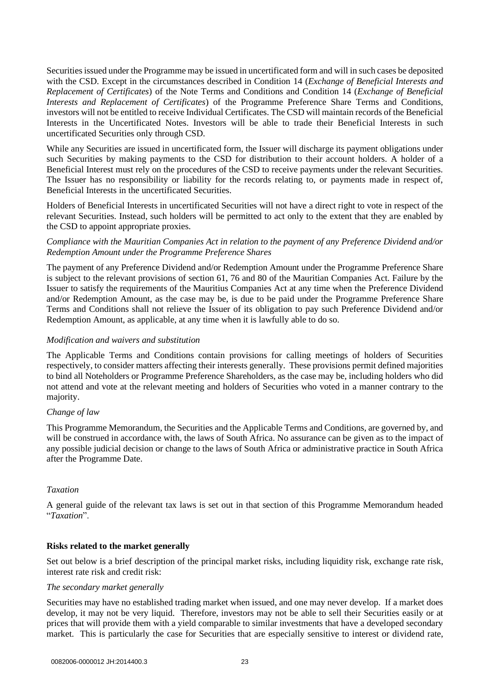Securities issued under the Programme may be issued in uncertificated form and will in such cases be deposited with the CSD. Except in the circumstances described in Condition 14 (*Exchange of Beneficial Interests and Replacement of Certificates*) of the Note Terms and Conditions and Condition 14 (*Exchange of Beneficial Interests and Replacement of Certificates*) of the Programme Preference Share Terms and Conditions, investors will not be entitled to receive Individual Certificates. The CSD will maintain records of the Beneficial Interests in the Uncertificated Notes. Investors will be able to trade their Beneficial Interests in such uncertificated Securities only through CSD.

While any Securities are issued in uncertificated form, the Issuer will discharge its payment obligations under such Securities by making payments to the CSD for distribution to their account holders. A holder of a Beneficial Interest must rely on the procedures of the CSD to receive payments under the relevant Securities. The Issuer has no responsibility or liability for the records relating to, or payments made in respect of, Beneficial Interests in the uncertificated Securities.

Holders of Beneficial Interests in uncertificated Securities will not have a direct right to vote in respect of the relevant Securities. Instead, such holders will be permitted to act only to the extent that they are enabled by the CSD to appoint appropriate proxies.

# *Compliance with the Mauritian Companies Act in relation to the payment of any Preference Dividend and/or Redemption Amount under the Programme Preference Shares*

The payment of any Preference Dividend and/or Redemption Amount under the Programme Preference Share is subject to the relevant provisions of section 61, 76 and 80 of the Mauritian Companies Act. Failure by the Issuer to satisfy the requirements of the Mauritius Companies Act at any time when the Preference Dividend and/or Redemption Amount, as the case may be, is due to be paid under the Programme Preference Share Terms and Conditions shall not relieve the Issuer of its obligation to pay such Preference Dividend and/or Redemption Amount, as applicable, at any time when it is lawfully able to do so.

# *Modification and waivers and substitution*

The Applicable Terms and Conditions contain provisions for calling meetings of holders of Securities respectively, to consider matters affecting their interests generally. These provisions permit defined majorities to bind all Noteholders or Programme Preference Shareholders, as the case may be, including holders who did not attend and vote at the relevant meeting and holders of Securities who voted in a manner contrary to the majority.

# *Change of law*

This Programme Memorandum, the Securities and the Applicable Terms and Conditions, are governed by, and will be construed in accordance with, the laws of South Africa. No assurance can be given as to the impact of any possible judicial decision or change to the laws of South Africa or administrative practice in South Africa after the Programme Date.

# *Taxation*

A general guide of the relevant tax laws is set out in that section of this Programme Memorandum headed "*Taxation*".

# **Risks related to the market generally**

Set out below is a brief description of the principal market risks, including liquidity risk, exchange rate risk, interest rate risk and credit risk:

# *The secondary market generally*

Securities may have no established trading market when issued, and one may never develop. If a market does develop, it may not be very liquid. Therefore, investors may not be able to sell their Securities easily or at prices that will provide them with a yield comparable to similar investments that have a developed secondary market. This is particularly the case for Securities that are especially sensitive to interest or dividend rate,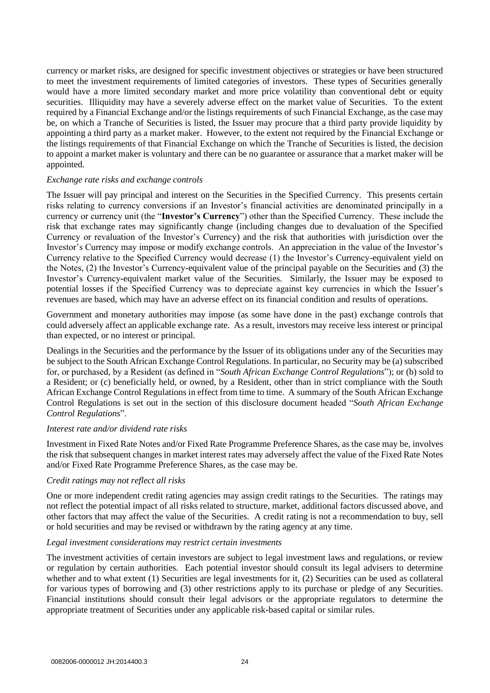currency or market risks, are designed for specific investment objectives or strategies or have been structured to meet the investment requirements of limited categories of investors. These types of Securities generally would have a more limited secondary market and more price volatility than conventional debt or equity securities. Illiquidity may have a severely adverse effect on the market value of Securities. To the extent required by a Financial Exchange and/or the listings requirements of such Financial Exchange, as the case may be, on which a Tranche of Securities is listed, the Issuer may procure that a third party provide liquidity by appointing a third party as a market maker. However, to the extent not required by the Financial Exchange or the listings requirements of that Financial Exchange on which the Tranche of Securities is listed, the decision to appoint a market maker is voluntary and there can be no guarantee or assurance that a market maker will be appointed.

## *Exchange rate risks and exchange controls*

The Issuer will pay principal and interest on the Securities in the Specified Currency. This presents certain risks relating to currency conversions if an Investor's financial activities are denominated principally in a currency or currency unit (the "**Investor's Currency**") other than the Specified Currency. These include the risk that exchange rates may significantly change (including changes due to devaluation of the Specified Currency or revaluation of the Investor's Currency) and the risk that authorities with jurisdiction over the Investor's Currency may impose or modify exchange controls. An appreciation in the value of the Investor's Currency relative to the Specified Currency would decrease (1) the Investor's Currency-equivalent yield on the Notes, (2) the Investor's Currency**-**equivalent value of the principal payable on the Securities and (3) the Investor's Currency**-**equivalent market value of the Securities. Similarly, the Issuer may be exposed to potential losses if the Specified Currency was to depreciate against key currencies in which the Issuer's revenues are based, which may have an adverse effect on its financial condition and results of operations.

Government and monetary authorities may impose (as some have done in the past) exchange controls that could adversely affect an applicable exchange rate. As a result, investors may receive less interest or principal than expected, or no interest or principal.

Dealings in the Securities and the performance by the Issuer of its obligations under any of the Securities may be subject to the South African Exchange Control Regulations. In particular, no Security may be (a) subscribed for, or purchased, by a Resident (as defined in "*South African Exchange Control Regulations*"); or (b) sold to a Resident; or (c) beneficially held, or owned, by a Resident, other than in strict compliance with the South African Exchange Control Regulations in effect from time to time. A summary of the South African Exchange Control Regulations is set out in the section of this disclosure document headed "*South African Exchange Control Regulations*".

#### *Interest rate and/or dividend rate risks*

Investment in Fixed Rate Notes and/or Fixed Rate Programme Preference Shares, as the case may be, involves the risk that subsequent changes in market interest rates may adversely affect the value of the Fixed Rate Notes and/or Fixed Rate Programme Preference Shares, as the case may be.

# *Credit ratings may not reflect all risks*

One or more independent credit rating agencies may assign credit ratings to the Securities. The ratings may not reflect the potential impact of all risks related to structure, market, additional factors discussed above, and other factors that may affect the value of the Securities. A credit rating is not a recommendation to buy, sell or hold securities and may be revised or withdrawn by the rating agency at any time.

#### *Legal investment considerations may restrict certain investments*

The investment activities of certain investors are subject to legal investment laws and regulations, or review or regulation by certain authorities. Each potential investor should consult its legal advisers to determine whether and to what extent (1) Securities are legal investments for it, (2) Securities can be used as collateral for various types of borrowing and (3) other restrictions apply to its purchase or pledge of any Securities. Financial institutions should consult their legal advisors or the appropriate regulators to determine the appropriate treatment of Securities under any applicable risk**-**based capital or similar rules.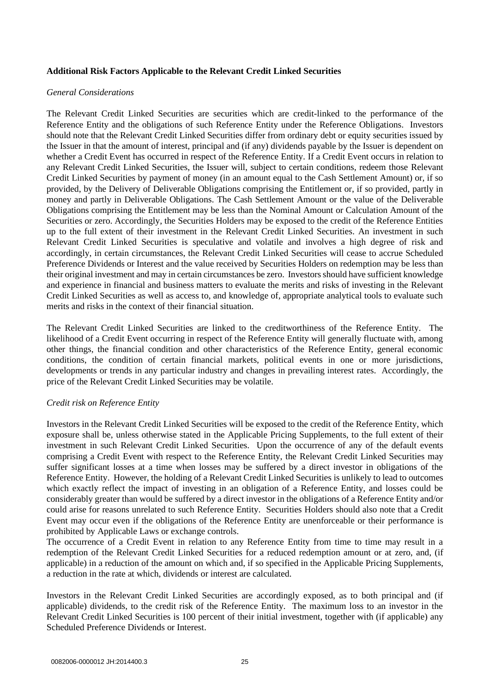# **Additional Risk Factors Applicable to the Relevant Credit Linked Securities**

## *General Considerations*

The Relevant Credit Linked Securities are securities which are credit-linked to the performance of the Reference Entity and the obligations of such Reference Entity under the Reference Obligations. Investors should note that the Relevant Credit Linked Securities differ from ordinary debt or equity securities issued by the Issuer in that the amount of interest, principal and (if any) dividends payable by the Issuer is dependent on whether a Credit Event has occurred in respect of the Reference Entity. If a Credit Event occurs in relation to any Relevant Credit Linked Securities, the Issuer will, subject to certain conditions, redeem those Relevant Credit Linked Securities by payment of money (in an amount equal to the Cash Settlement Amount) or, if so provided, by the Delivery of Deliverable Obligations comprising the Entitlement or, if so provided, partly in money and partly in Deliverable Obligations. The Cash Settlement Amount or the value of the Deliverable Obligations comprising the Entitlement may be less than the Nominal Amount or Calculation Amount of the Securities or zero. Accordingly, the Securities Holders may be exposed to the credit of the Reference Entities up to the full extent of their investment in the Relevant Credit Linked Securities. An investment in such Relevant Credit Linked Securities is speculative and volatile and involves a high degree of risk and accordingly, in certain circumstances, the Relevant Credit Linked Securities will cease to accrue Scheduled Preference Dividends or Interest and the value received by Securities Holders on redemption may be less than their original investment and may in certain circumstances be zero. Investors should have sufficient knowledge and experience in financial and business matters to evaluate the merits and risks of investing in the Relevant Credit Linked Securities as well as access to, and knowledge of, appropriate analytical tools to evaluate such merits and risks in the context of their financial situation.

The Relevant Credit Linked Securities are linked to the creditworthiness of the Reference Entity. The likelihood of a Credit Event occurring in respect of the Reference Entity will generally fluctuate with, among other things, the financial condition and other characteristics of the Reference Entity, general economic conditions, the condition of certain financial markets, political events in one or more jurisdictions, developments or trends in any particular industry and changes in prevailing interest rates. Accordingly, the price of the Relevant Credit Linked Securities may be volatile.

# *Credit risk on Reference Entity*

Investors in the Relevant Credit Linked Securities will be exposed to the credit of the Reference Entity, which exposure shall be, unless otherwise stated in the Applicable Pricing Supplements, to the full extent of their investment in such Relevant Credit Linked Securities. Upon the occurrence of any of the default events comprising a Credit Event with respect to the Reference Entity, the Relevant Credit Linked Securities may suffer significant losses at a time when losses may be suffered by a direct investor in obligations of the Reference Entity. However, the holding of a Relevant Credit Linked Securities is unlikely to lead to outcomes which exactly reflect the impact of investing in an obligation of a Reference Entity, and losses could be considerably greater than would be suffered by a direct investor in the obligations of a Reference Entity and/or could arise for reasons unrelated to such Reference Entity. Securities Holders should also note that a Credit Event may occur even if the obligations of the Reference Entity are unenforceable or their performance is prohibited by Applicable Laws or exchange controls.

The occurrence of a Credit Event in relation to any Reference Entity from time to time may result in a redemption of the Relevant Credit Linked Securities for a reduced redemption amount or at zero, and, (if applicable) in a reduction of the amount on which and, if so specified in the Applicable Pricing Supplements, a reduction in the rate at which, dividends or interest are calculated.

Investors in the Relevant Credit Linked Securities are accordingly exposed, as to both principal and (if applicable) dividends, to the credit risk of the Reference Entity. The maximum loss to an investor in the Relevant Credit Linked Securities is 100 percent of their initial investment, together with (if applicable) any Scheduled Preference Dividends or Interest.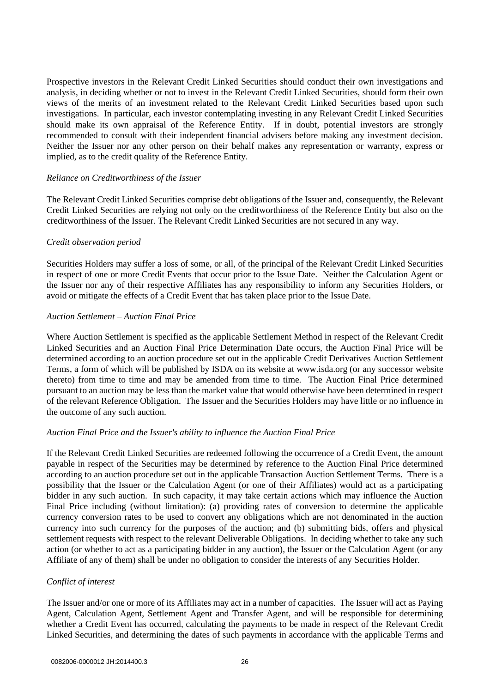Prospective investors in the Relevant Credit Linked Securities should conduct their own investigations and analysis, in deciding whether or not to invest in the Relevant Credit Linked Securities, should form their own views of the merits of an investment related to the Relevant Credit Linked Securities based upon such investigations. In particular, each investor contemplating investing in any Relevant Credit Linked Securities should make its own appraisal of the Reference Entity. If in doubt, potential investors are strongly recommended to consult with their independent financial advisers before making any investment decision. Neither the Issuer nor any other person on their behalf makes any representation or warranty, express or implied, as to the credit quality of the Reference Entity.

## *Reliance on Creditworthiness of the Issuer*

The Relevant Credit Linked Securities comprise debt obligations of the Issuer and, consequently, the Relevant Credit Linked Securities are relying not only on the creditworthiness of the Reference Entity but also on the creditworthiness of the Issuer. The Relevant Credit Linked Securities are not secured in any way.

# *Credit observation period*

Securities Holders may suffer a loss of some, or all, of the principal of the Relevant Credit Linked Securities in respect of one or more Credit Events that occur prior to the Issue Date. Neither the Calculation Agent or the Issuer nor any of their respective Affiliates has any responsibility to inform any Securities Holders, or avoid or mitigate the effects of a Credit Event that has taken place prior to the Issue Date.

## *Auction Settlement – Auction Final Price*

Where Auction Settlement is specified as the applicable Settlement Method in respect of the Relevant Credit Linked Securities and an Auction Final Price Determination Date occurs, the Auction Final Price will be determined according to an auction procedure set out in the applicable Credit Derivatives Auction Settlement Terms, a form of which will be published by ISDA on its website at www.isda.org (or any successor website thereto) from time to time and may be amended from time to time. The Auction Final Price determined pursuant to an auction may be less than the market value that would otherwise have been determined in respect of the relevant Reference Obligation. The Issuer and the Securities Holders may have little or no influence in the outcome of any such auction.

# *Auction Final Price and the Issuer's ability to influence the Auction Final Price*

If the Relevant Credit Linked Securities are redeemed following the occurrence of a Credit Event, the amount payable in respect of the Securities may be determined by reference to the Auction Final Price determined according to an auction procedure set out in the applicable Transaction Auction Settlement Terms. There is a possibility that the Issuer or the Calculation Agent (or one of their Affiliates) would act as a participating bidder in any such auction. In such capacity, it may take certain actions which may influence the Auction Final Price including (without limitation): (a) providing rates of conversion to determine the applicable currency conversion rates to be used to convert any obligations which are not denominated in the auction currency into such currency for the purposes of the auction; and (b) submitting bids, offers and physical settlement requests with respect to the relevant Deliverable Obligations. In deciding whether to take any such action (or whether to act as a participating bidder in any auction), the Issuer or the Calculation Agent (or any Affiliate of any of them) shall be under no obligation to consider the interests of any Securities Holder.

# *Conflict of interest*

The Issuer and/or one or more of its Affiliates may act in a number of capacities. The Issuer will act as Paying Agent, Calculation Agent, Settlement Agent and Transfer Agent, and will be responsible for determining whether a Credit Event has occurred, calculating the payments to be made in respect of the Relevant Credit Linked Securities, and determining the dates of such payments in accordance with the applicable Terms and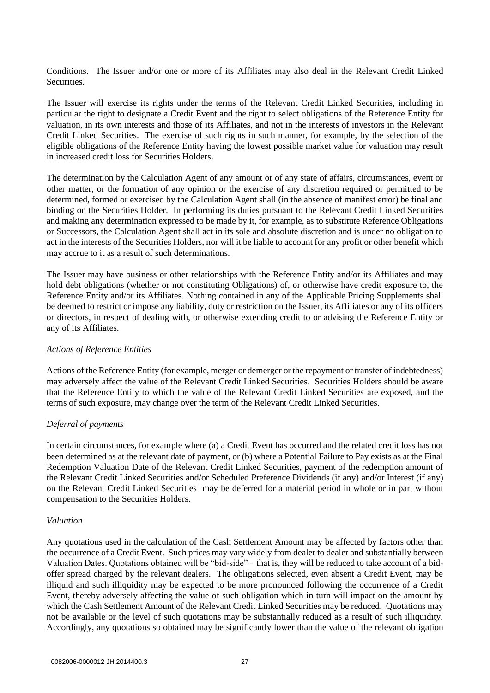Conditions. The Issuer and/or one or more of its Affiliates may also deal in the Relevant Credit Linked **Securities** 

The Issuer will exercise its rights under the terms of the Relevant Credit Linked Securities, including in particular the right to designate a Credit Event and the right to select obligations of the Reference Entity for valuation, in its own interests and those of its Affiliates, and not in the interests of investors in the Relevant Credit Linked Securities. The exercise of such rights in such manner, for example, by the selection of the eligible obligations of the Reference Entity having the lowest possible market value for valuation may result in increased credit loss for Securities Holders.

The determination by the Calculation Agent of any amount or of any state of affairs, circumstances, event or other matter, or the formation of any opinion or the exercise of any discretion required or permitted to be determined, formed or exercised by the Calculation Agent shall (in the absence of manifest error) be final and binding on the Securities Holder. In performing its duties pursuant to the Relevant Credit Linked Securities and making any determination expressed to be made by it, for example, as to substitute Reference Obligations or Successors, the Calculation Agent shall act in its sole and absolute discretion and is under no obligation to act in the interests of the Securities Holders, nor will it be liable to account for any profit or other benefit which may accrue to it as a result of such determinations.

The Issuer may have business or other relationships with the Reference Entity and/or its Affiliates and may hold debt obligations (whether or not constituting Obligations) of, or otherwise have credit exposure to, the Reference Entity and/or its Affiliates. Nothing contained in any of the Applicable Pricing Supplements shall be deemed to restrict or impose any liability, duty or restriction on the Issuer, its Affiliates or any of its officers or directors, in respect of dealing with, or otherwise extending credit to or advising the Reference Entity or any of its Affiliates.

#### *Actions of Reference Entities*

Actions of the Reference Entity (for example, merger or demerger or the repayment or transfer of indebtedness) may adversely affect the value of the Relevant Credit Linked Securities. Securities Holders should be aware that the Reference Entity to which the value of the Relevant Credit Linked Securities are exposed, and the terms of such exposure, may change over the term of the Relevant Credit Linked Securities.

# *Deferral of payments*

In certain circumstances, for example where (a) a Credit Event has occurred and the related credit loss has not been determined as at the relevant date of payment, or (b) where a Potential Failure to Pay exists as at the Final Redemption Valuation Date of the Relevant Credit Linked Securities, payment of the redemption amount of the Relevant Credit Linked Securities and/or Scheduled Preference Dividends (if any) and/or Interest (if any) on the Relevant Credit Linked Securities may be deferred for a material period in whole or in part without compensation to the Securities Holders.

# *Valuation*

Any quotations used in the calculation of the Cash Settlement Amount may be affected by factors other than the occurrence of a Credit Event. Such prices may vary widely from dealer to dealer and substantially between Valuation Dates. Quotations obtained will be "bid-side" – that is, they will be reduced to take account of a bidoffer spread charged by the relevant dealers. The obligations selected, even absent a Credit Event, may be illiquid and such illiquidity may be expected to be more pronounced following the occurrence of a Credit Event, thereby adversely affecting the value of such obligation which in turn will impact on the amount by which the Cash Settlement Amount of the Relevant Credit Linked Securities may be reduced. Quotations may not be available or the level of such quotations may be substantially reduced as a result of such illiquidity. Accordingly, any quotations so obtained may be significantly lower than the value of the relevant obligation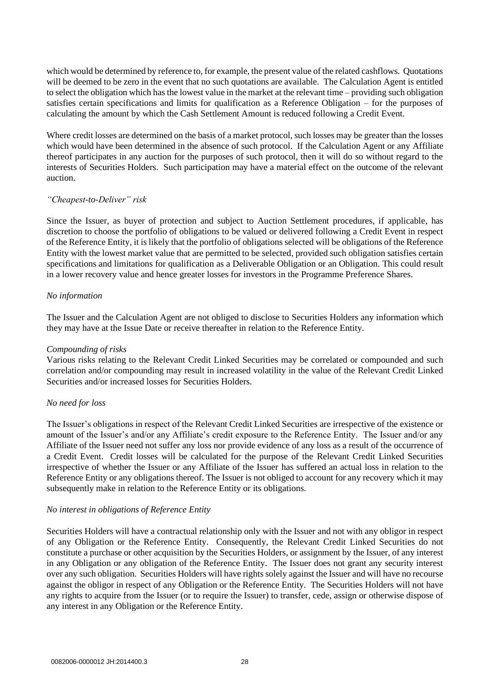which would be determined by reference to, for example, the present value of the related cashflows. Quotations will be deemed to be zero in the event that no such quotations are available. The Calculation Agent is entitled to select the obligation which has the lowest value in the market at the relevant time – providing such obligation satisfies certain specifications and limits for qualification as a Reference Obligation – for the purposes of calculating the amount by which the Cash Settlement Amount is reduced following a Credit Event.

Where credit losses are determined on the basis of a market protocol, such losses may be greater than the losses which would have been determined in the absence of such protocol. If the Calculation Agent or any Affiliate thereof participates in any auction for the purposes of such protocol, then it will do so without regard to the interests of Securities Holders. Such participation may have a material effect on the outcome of the relevant auction.

# *"Cheapest-to-Deliver" risk*

Since the Issuer, as buyer of protection and subject to Auction Settlement procedures, if applicable, has discretion to choose the portfolio of obligations to be valued or delivered following a Credit Event in respect of the Reference Entity, it is likely that the portfolio of obligations selected will be obligations of the Reference Entity with the lowest market value that are permitted to be selected, provided such obligation satisfies certain specifications and limitations for qualification as a Deliverable Obligation or an Obligation. This could result in a lower recovery value and hence greater losses for investors in the Programme Preference Shares.

## *No information*

The Issuer and the Calculation Agent are not obliged to disclose to Securities Holders any information which they may have at the Issue Date or receive thereafter in relation to the Reference Entity.

## *Compounding of risks*

Various risks relating to the Relevant Credit Linked Securities may be correlated or compounded and such correlation and/or compounding may result in increased volatility in the value of the Relevant Credit Linked Securities and/or increased losses for Securities Holders.

# *No need for loss*

The Issuer's obligations in respect of the Relevant Credit Linked Securities are irrespective of the existence or amount of the Issuer's and/or any Affiliate's credit exposure to the Reference Entity. The Issuer and/or any Affiliate of the Issuer need not suffer any loss nor provide evidence of any loss as a result of the occurrence of a Credit Event. Credit losses will be calculated for the purpose of the Relevant Credit Linked Securities irrespective of whether the Issuer or any Affiliate of the Issuer has suffered an actual loss in relation to the Reference Entity or any obligations thereof. The Issuer is not obliged to account for any recovery which it may subsequently make in relation to the Reference Entity or its obligations.

#### *No interest in obligations of Reference Entity*

Securities Holders will have a contractual relationship only with the Issuer and not with any obligor in respect of any Obligation or the Reference Entity. Consequently, the Relevant Credit Linked Securities do not constitute a purchase or other acquisition by the Securities Holders, or assignment by the Issuer, of any interest in any Obligation or any obligation of the Reference Entity. The Issuer does not grant any security interest over any such obligation. Securities Holders will have rights solely against the Issuer and will have no recourse against the obligor in respect of any Obligation or the Reference Entity. The Securities Holders will not have any rights to acquire from the Issuer (or to require the Issuer) to transfer, cede, assign or otherwise dispose of any interest in any Obligation or the Reference Entity.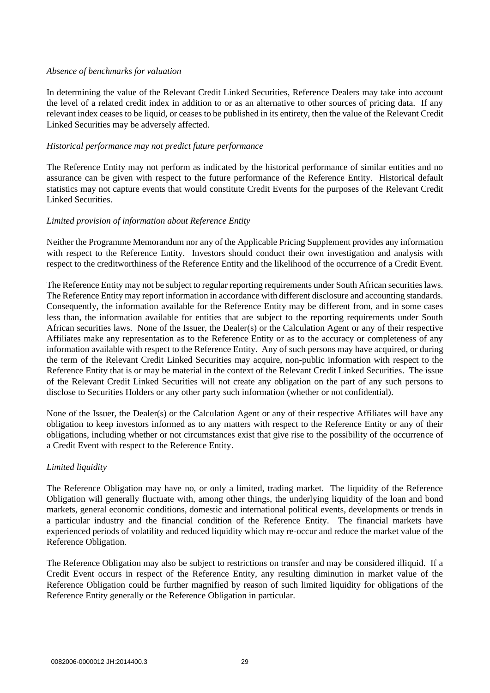## *Absence of benchmarks for valuation*

In determining the value of the Relevant Credit Linked Securities, Reference Dealers may take into account the level of a related credit index in addition to or as an alternative to other sources of pricing data. If any relevant index ceases to be liquid, or ceases to be published in its entirety, then the value of the Relevant Credit Linked Securities may be adversely affected.

# *Historical performance may not predict future performance*

The Reference Entity may not perform as indicated by the historical performance of similar entities and no assurance can be given with respect to the future performance of the Reference Entity. Historical default statistics may not capture events that would constitute Credit Events for the purposes of the Relevant Credit Linked Securities.

# *Limited provision of information about Reference Entity*

Neither the Programme Memorandum nor any of the Applicable Pricing Supplement provides any information with respect to the Reference Entity. Investors should conduct their own investigation and analysis with respect to the creditworthiness of the Reference Entity and the likelihood of the occurrence of a Credit Event.

The Reference Entity may not be subject to regular reporting requirements under South African securities laws. The Reference Entity may report information in accordance with different disclosure and accounting standards. Consequently, the information available for the Reference Entity may be different from, and in some cases less than, the information available for entities that are subject to the reporting requirements under South African securities laws. None of the Issuer, the Dealer(s) or the Calculation Agent or any of their respective Affiliates make any representation as to the Reference Entity or as to the accuracy or completeness of any information available with respect to the Reference Entity. Any of such persons may have acquired, or during the term of the Relevant Credit Linked Securities may acquire, non-public information with respect to the Reference Entity that is or may be material in the context of the Relevant Credit Linked Securities. The issue of the Relevant Credit Linked Securities will not create any obligation on the part of any such persons to disclose to Securities Holders or any other party such information (whether or not confidential).

None of the Issuer, the Dealer(s) or the Calculation Agent or any of their respective Affiliates will have any obligation to keep investors informed as to any matters with respect to the Reference Entity or any of their obligations, including whether or not circumstances exist that give rise to the possibility of the occurrence of a Credit Event with respect to the Reference Entity.

# *Limited liquidity*

The Reference Obligation may have no, or only a limited, trading market. The liquidity of the Reference Obligation will generally fluctuate with, among other things, the underlying liquidity of the loan and bond markets, general economic conditions, domestic and international political events, developments or trends in a particular industry and the financial condition of the Reference Entity. The financial markets have experienced periods of volatility and reduced liquidity which may re-occur and reduce the market value of the Reference Obligation.

The Reference Obligation may also be subject to restrictions on transfer and may be considered illiquid. If a Credit Event occurs in respect of the Reference Entity, any resulting diminution in market value of the Reference Obligation could be further magnified by reason of such limited liquidity for obligations of the Reference Entity generally or the Reference Obligation in particular.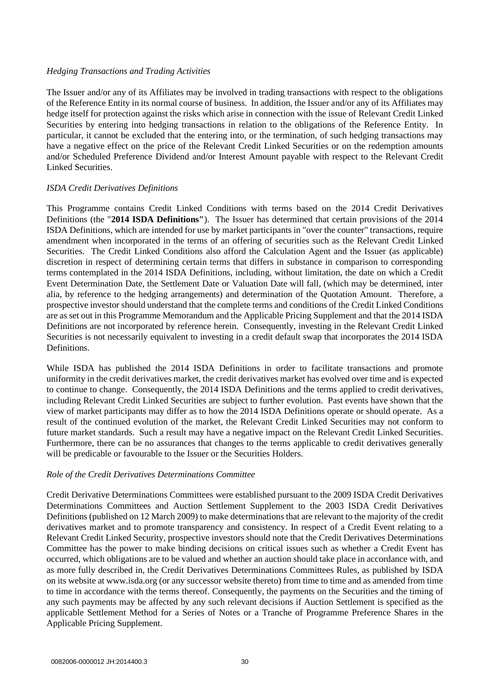# *Hedging Transactions and Trading Activities*

The Issuer and/or any of its Affiliates may be involved in trading transactions with respect to the obligations of the Reference Entity in its normal course of business. In addition, the Issuer and/or any of its Affiliates may hedge itself for protection against the risks which arise in connection with the issue of Relevant Credit Linked Securities by entering into hedging transactions in relation to the obligations of the Reference Entity. In particular, it cannot be excluded that the entering into, or the termination, of such hedging transactions may have a negative effect on the price of the Relevant Credit Linked Securities or on the redemption amounts and/or Scheduled Preference Dividend and/or Interest Amount payable with respect to the Relevant Credit Linked Securities.

# *ISDA Credit Derivatives Definitions*

This Programme contains Credit Linked Conditions with terms based on the 2014 Credit Derivatives Definitions (the "**2014 ISDA Definitions"**). The Issuer has determined that certain provisions of the 2014 ISDA Definitions, which are intended for use by market participants in "over the counter" transactions, require amendment when incorporated in the terms of an offering of securities such as the Relevant Credit Linked Securities. The Credit Linked Conditions also afford the Calculation Agent and the Issuer (as applicable) discretion in respect of determining certain terms that differs in substance in comparison to corresponding terms contemplated in the 2014 ISDA Definitions, including, without limitation, the date on which a Credit Event Determination Date, the Settlement Date or Valuation Date will fall, (which may be determined, inter alia, by reference to the hedging arrangements) and determination of the Quotation Amount. Therefore, a prospective investor should understand that the complete terms and conditions of the Credit Linked Conditions are as set out in this Programme Memorandum and the Applicable Pricing Supplement and that the 2014 ISDA Definitions are not incorporated by reference herein. Consequently, investing in the Relevant Credit Linked Securities is not necessarily equivalent to investing in a credit default swap that incorporates the 2014 ISDA Definitions.

While ISDA has published the 2014 ISDA Definitions in order to facilitate transactions and promote uniformity in the credit derivatives market, the credit derivatives market has evolved over time and is expected to continue to change. Consequently, the 2014 ISDA Definitions and the terms applied to credit derivatives, including Relevant Credit Linked Securities are subject to further evolution. Past events have shown that the view of market participants may differ as to how the 2014 ISDA Definitions operate or should operate. As a result of the continued evolution of the market, the Relevant Credit Linked Securities may not conform to future market standards. Such a result may have a negative impact on the Relevant Credit Linked Securities. Furthermore, there can be no assurances that changes to the terms applicable to credit derivatives generally will be predicable or favourable to the Issuer or the Securities Holders.

# *Role of the Credit Derivatives Determinations Committee*

Credit Derivative Determinations Committees were established pursuant to the 2009 ISDA Credit Derivatives Determinations Committees and Auction Settlement Supplement to the 2003 ISDA Credit Derivatives Definitions (published on 12 March 2009) to make determinations that are relevant to the majority of the credit derivatives market and to promote transparency and consistency. In respect of a Credit Event relating to a Relevant Credit Linked Security, prospective investors should note that the Credit Derivatives Determinations Committee has the power to make binding decisions on critical issues such as whether a Credit Event has occurred, which obligations are to be valued and whether an auction should take place in accordance with, and as more fully described in, the Credit Derivatives Determinations Committees Rules, as published by ISDA on its website at www.isda.org (or any successor website thereto) from time to time and as amended from time to time in accordance with the terms thereof. Consequently, the payments on the Securities and the timing of any such payments may be affected by any such relevant decisions if Auction Settlement is specified as the applicable Settlement Method for a Series of Notes or a Tranche of Programme Preference Shares in the Applicable Pricing Supplement.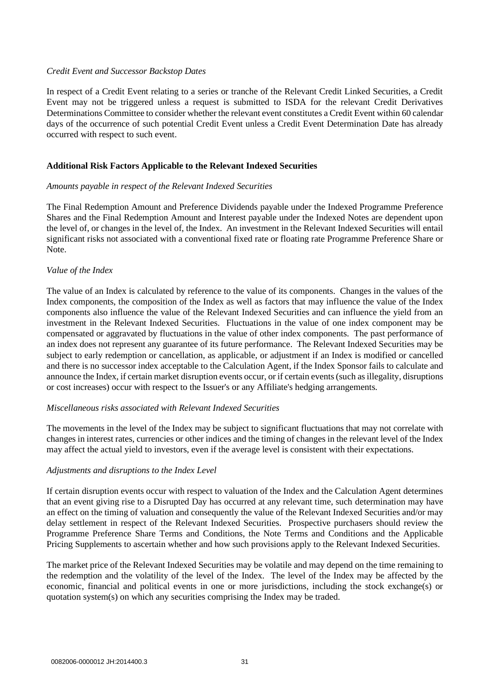## *Credit Event and Successor Backstop Dates*

In respect of a Credit Event relating to a series or tranche of the Relevant Credit Linked Securities, a Credit Event may not be triggered unless a request is submitted to ISDA for the relevant Credit Derivatives Determinations Committee to consider whether the relevant event constitutes a Credit Event within 60 calendar days of the occurrence of such potential Credit Event unless a Credit Event Determination Date has already occurred with respect to such event.

# **Additional Risk Factors Applicable to the Relevant Indexed Securities**

## *Amounts payable in respect of the Relevant Indexed Securities*

The Final Redemption Amount and Preference Dividends payable under the Indexed Programme Preference Shares and the Final Redemption Amount and Interest payable under the Indexed Notes are dependent upon the level of, or changes in the level of, the Index. An investment in the Relevant Indexed Securities will entail significant risks not associated with a conventional fixed rate or floating rate Programme Preference Share or Note.

## *Value of the Index*

The value of an Index is calculated by reference to the value of its components. Changes in the values of the Index components, the composition of the Index as well as factors that may influence the value of the Index components also influence the value of the Relevant Indexed Securities and can influence the yield from an investment in the Relevant Indexed Securities. Fluctuations in the value of one index component may be compensated or aggravated by fluctuations in the value of other index components. The past performance of an index does not represent any guarantee of its future performance. The Relevant Indexed Securities may be subject to early redemption or cancellation, as applicable, or adjustment if an Index is modified or cancelled and there is no successor index acceptable to the Calculation Agent, if the Index Sponsor fails to calculate and announce the Index, if certain market disruption events occur, or if certain events (such as illegality, disruptions or cost increases) occur with respect to the Issuer's or any Affiliate's hedging arrangements.

## *Miscellaneous risks associated with Relevant Indexed Securities*

The movements in the level of the Index may be subject to significant fluctuations that may not correlate with changes in interest rates, currencies or other indices and the timing of changes in the relevant level of the Index may affect the actual yield to investors, even if the average level is consistent with their expectations.

# *Adjustments and disruptions to the Index Level*

If certain disruption events occur with respect to valuation of the Index and the Calculation Agent determines that an event giving rise to a Disrupted Day has occurred at any relevant time, such determination may have an effect on the timing of valuation and consequently the value of the Relevant Indexed Securities and/or may delay settlement in respect of the Relevant Indexed Securities. Prospective purchasers should review the Programme Preference Share Terms and Conditions, the Note Terms and Conditions and the Applicable Pricing Supplements to ascertain whether and how such provisions apply to the Relevant Indexed Securities.

The market price of the Relevant Indexed Securities may be volatile and may depend on the time remaining to the redemption and the volatility of the level of the Index. The level of the Index may be affected by the economic, financial and political events in one or more jurisdictions, including the stock exchange(s) or quotation system(s) on which any securities comprising the Index may be traded.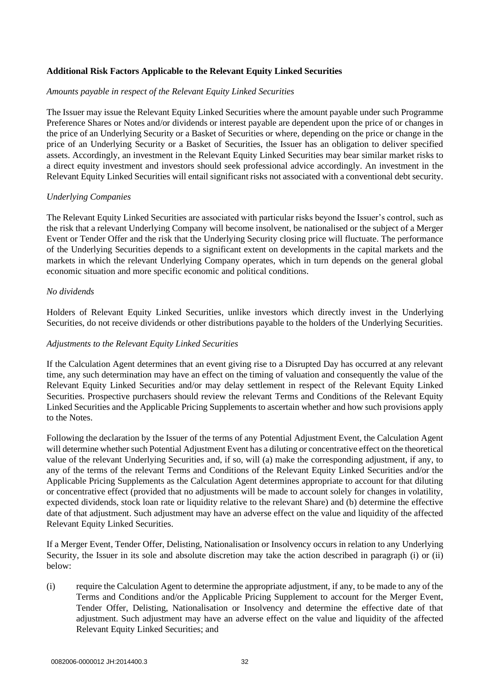# **Additional Risk Factors Applicable to the Relevant Equity Linked Securities**

## *Amounts payable in respect of the Relevant Equity Linked Securities*

The Issuer may issue the Relevant Equity Linked Securities where the amount payable under such Programme Preference Shares or Notes and/or dividends or interest payable are dependent upon the price of or changes in the price of an Underlying Security or a Basket of Securities or where, depending on the price or change in the price of an Underlying Security or a Basket of Securities, the Issuer has an obligation to deliver specified assets. Accordingly, an investment in the Relevant Equity Linked Securities may bear similar market risks to a direct equity investment and investors should seek professional advice accordingly. An investment in the Relevant Equity Linked Securities will entail significant risks not associated with a conventional debt security.

# *Underlying Companies*

The Relevant Equity Linked Securities are associated with particular risks beyond the Issuer's control, such as the risk that a relevant Underlying Company will become insolvent, be nationalised or the subject of a Merger Event or Tender Offer and the risk that the Underlying Security closing price will fluctuate. The performance of the Underlying Securities depends to a significant extent on developments in the capital markets and the markets in which the relevant Underlying Company operates, which in turn depends on the general global economic situation and more specific economic and political conditions.

## *No dividends*

Holders of Relevant Equity Linked Securities, unlike investors which directly invest in the Underlying Securities, do not receive dividends or other distributions payable to the holders of the Underlying Securities.

## *Adjustments to the Relevant Equity Linked Securities*

If the Calculation Agent determines that an event giving rise to a Disrupted Day has occurred at any relevant time, any such determination may have an effect on the timing of valuation and consequently the value of the Relevant Equity Linked Securities and/or may delay settlement in respect of the Relevant Equity Linked Securities. Prospective purchasers should review the relevant Terms and Conditions of the Relevant Equity Linked Securities and the Applicable Pricing Supplements to ascertain whether and how such provisions apply to the Notes.

Following the declaration by the Issuer of the terms of any Potential Adjustment Event, the Calculation Agent will determine whether such Potential Adjustment Event has a diluting or concentrative effect on the theoretical value of the relevant Underlying Securities and, if so, will (a) make the corresponding adjustment, if any, to any of the terms of the relevant Terms and Conditions of the Relevant Equity Linked Securities and/or the Applicable Pricing Supplements as the Calculation Agent determines appropriate to account for that diluting or concentrative effect (provided that no adjustments will be made to account solely for changes in volatility, expected dividends, stock loan rate or liquidity relative to the relevant Share) and (b) determine the effective date of that adjustment. Such adjustment may have an adverse effect on the value and liquidity of the affected Relevant Equity Linked Securities.

If a Merger Event, Tender Offer, Delisting, Nationalisation or Insolvency occurs in relation to any Underlying Security, the Issuer in its sole and absolute discretion may take the action described in paragraph [\(i\)](#page-31-0) or [\(ii\)](#page-32-0)  [below:](#page-32-0)

<span id="page-31-0"></span>(i) require the Calculation Agent to determine the appropriate adjustment, if any, to be made to any of the Terms and Conditions and/or the Applicable Pricing Supplement to account for the Merger Event, Tender Offer, Delisting, Nationalisation or Insolvency and determine the effective date of that adjustment. Such adjustment may have an adverse effect on the value and liquidity of the affected Relevant Equity Linked Securities; and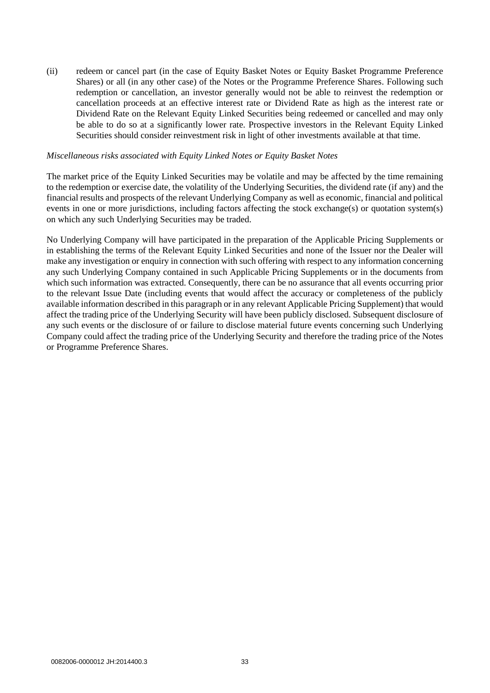<span id="page-32-0"></span>(ii) redeem or cancel part (in the case of Equity Basket Notes or Equity Basket Programme Preference Shares) or all (in any other case) of the Notes or the Programme Preference Shares. Following such redemption or cancellation, an investor generally would not be able to reinvest the redemption or cancellation proceeds at an effective interest rate or Dividend Rate as high as the interest rate or Dividend Rate on the Relevant Equity Linked Securities being redeemed or cancelled and may only be able to do so at a significantly lower rate. Prospective investors in the Relevant Equity Linked Securities should consider reinvestment risk in light of other investments available at that time.

#### *Miscellaneous risks associated with Equity Linked Notes or Equity Basket Notes*

The market price of the Equity Linked Securities may be volatile and may be affected by the time remaining to the redemption or exercise date, the volatility of the Underlying Securities, the dividend rate (if any) and the financial results and prospects of the relevant Underlying Company as well as economic, financial and political events in one or more jurisdictions, including factors affecting the stock exchange(s) or quotation system(s) on which any such Underlying Securities may be traded.

No Underlying Company will have participated in the preparation of the Applicable Pricing Supplements or in establishing the terms of the Relevant Equity Linked Securities and none of the Issuer nor the Dealer will make any investigation or enquiry in connection with such offering with respect to any information concerning any such Underlying Company contained in such Applicable Pricing Supplements or in the documents from which such information was extracted. Consequently, there can be no assurance that all events occurring prior to the relevant Issue Date (including events that would affect the accuracy or completeness of the publicly available information described in this paragraph or in any relevant Applicable Pricing Supplement) that would affect the trading price of the Underlying Security will have been publicly disclosed. Subsequent disclosure of any such events or the disclosure of or failure to disclose material future events concerning such Underlying Company could affect the trading price of the Underlying Security and therefore the trading price of the Notes or Programme Preference Shares.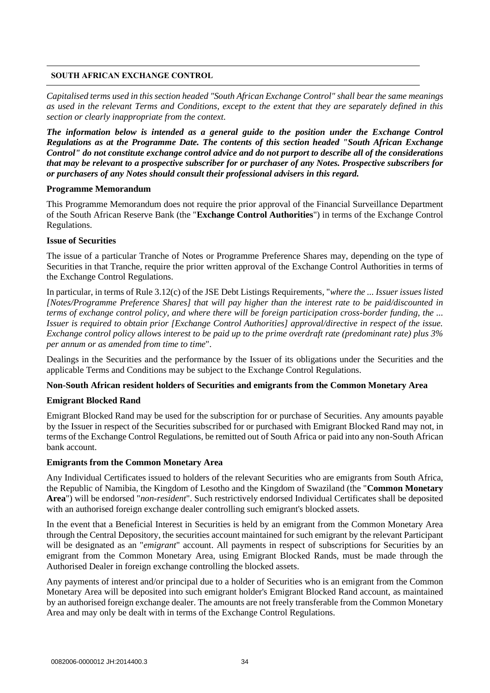## **SOUTH AFRICAN EXCHANGE CONTROL**

*Capitalised terms used in this section headed "South African Exchange Control" shall bear the same meanings as used in the relevant Terms and Conditions, except to the extent that they are separately defined in this section or clearly inappropriate from the context.*

*The information below is intended as a general guide to the position under the Exchange Control Regulations as at the Programme Date. The contents of this section headed "South African Exchange Control" do not constitute exchange control advice and do not purport to describe all of the considerations that may be relevant to a prospective subscriber for or purchaser of any Notes. Prospective subscribers for or purchasers of any Notes should consult their professional advisers in this regard.*

## **Programme Memorandum**

This Programme Memorandum does not require the prior approval of the Financial Surveillance Department of the South African Reserve Bank (the "**Exchange Control Authorities**") in terms of the Exchange Control Regulations.

# **Issue of Securities**

The issue of a particular Tranche of Notes or Programme Preference Shares may, depending on the type of Securities in that Tranche, require the prior written approval of the Exchange Control Authorities in terms of the Exchange Control Regulations.

In particular, in terms of Rule 3.12(c) of the JSE Debt Listings Requirements, "*where the ... Issuer issues listed [Notes/Programme Preference Shares] that will pay higher than the interest rate to be paid/discounted in terms of exchange control policy, and where there will be foreign participation cross-border funding, the ... Issuer is required to obtain prior [Exchange Control Authorities] approval/directive in respect of the issue. Exchange control policy allows interest to be paid up to the prime overdraft rate (predominant rate) plus 3% per annum or as amended from time to time*".

Dealings in the Securities and the performance by the Issuer of its obligations under the Securities and the applicable Terms and Conditions may be subject to the Exchange Control Regulations.

# **Non-South African resident holders of Securities and emigrants from the Common Monetary Area**

# **Emigrant Blocked Rand**

Emigrant Blocked Rand may be used for the subscription for or purchase of Securities. Any amounts payable by the Issuer in respect of the Securities subscribed for or purchased with Emigrant Blocked Rand may not, in terms of the Exchange Control Regulations, be remitted out of South Africa or paid into any non-South African bank account.

# **Emigrants from the Common Monetary Area**

Any Individual Certificates issued to holders of the relevant Securities who are emigrants from South Africa, the Republic of Namibia, the Kingdom of Lesotho and the Kingdom of Swaziland (the "**Common Monetary Area**") will be endorsed "*non-resident*". Such restrictively endorsed Individual Certificates shall be deposited with an authorised foreign exchange dealer controlling such emigrant's blocked assets.

In the event that a Beneficial Interest in Securities is held by an emigrant from the Common Monetary Area through the Central Depository, the securities account maintained for such emigrant by the relevant Participant will be designated as an "*emigrant*" account. All payments in respect of subscriptions for Securities by an emigrant from the Common Monetary Area, using Emigrant Blocked Rands, must be made through the Authorised Dealer in foreign exchange controlling the blocked assets.

Any payments of interest and/or principal due to a holder of Securities who is an emigrant from the Common Monetary Area will be deposited into such emigrant holder's Emigrant Blocked Rand account, as maintained by an authorised foreign exchange dealer. The amounts are not freely transferable from the Common Monetary Area and may only be dealt with in terms of the Exchange Control Regulations.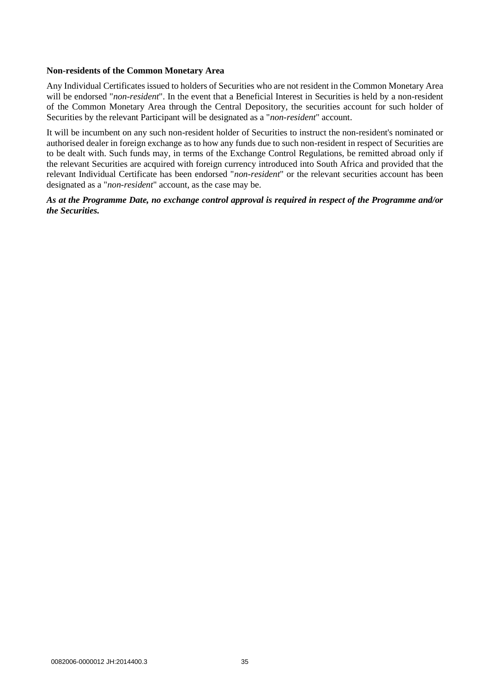## **Non-residents of the Common Monetary Area**

Any Individual Certificates issued to holders of Securities who are not resident in the Common Monetary Area will be endorsed "*non-resident*". In the event that a Beneficial Interest in Securities is held by a non-resident of the Common Monetary Area through the Central Depository, the securities account for such holder of Securities by the relevant Participant will be designated as a "*non-resident*" account.

It will be incumbent on any such non-resident holder of Securities to instruct the non-resident's nominated or authorised dealer in foreign exchange as to how any funds due to such non-resident in respect of Securities are to be dealt with. Such funds may, in terms of the Exchange Control Regulations, be remitted abroad only if the relevant Securities are acquired with foreign currency introduced into South Africa and provided that the relevant Individual Certificate has been endorsed "*non-resident*" or the relevant securities account has been designated as a "*non-resident*" account, as the case may be.

# *As at the Programme Date, no exchange control approval is required in respect of the Programme and/or the Securities.*